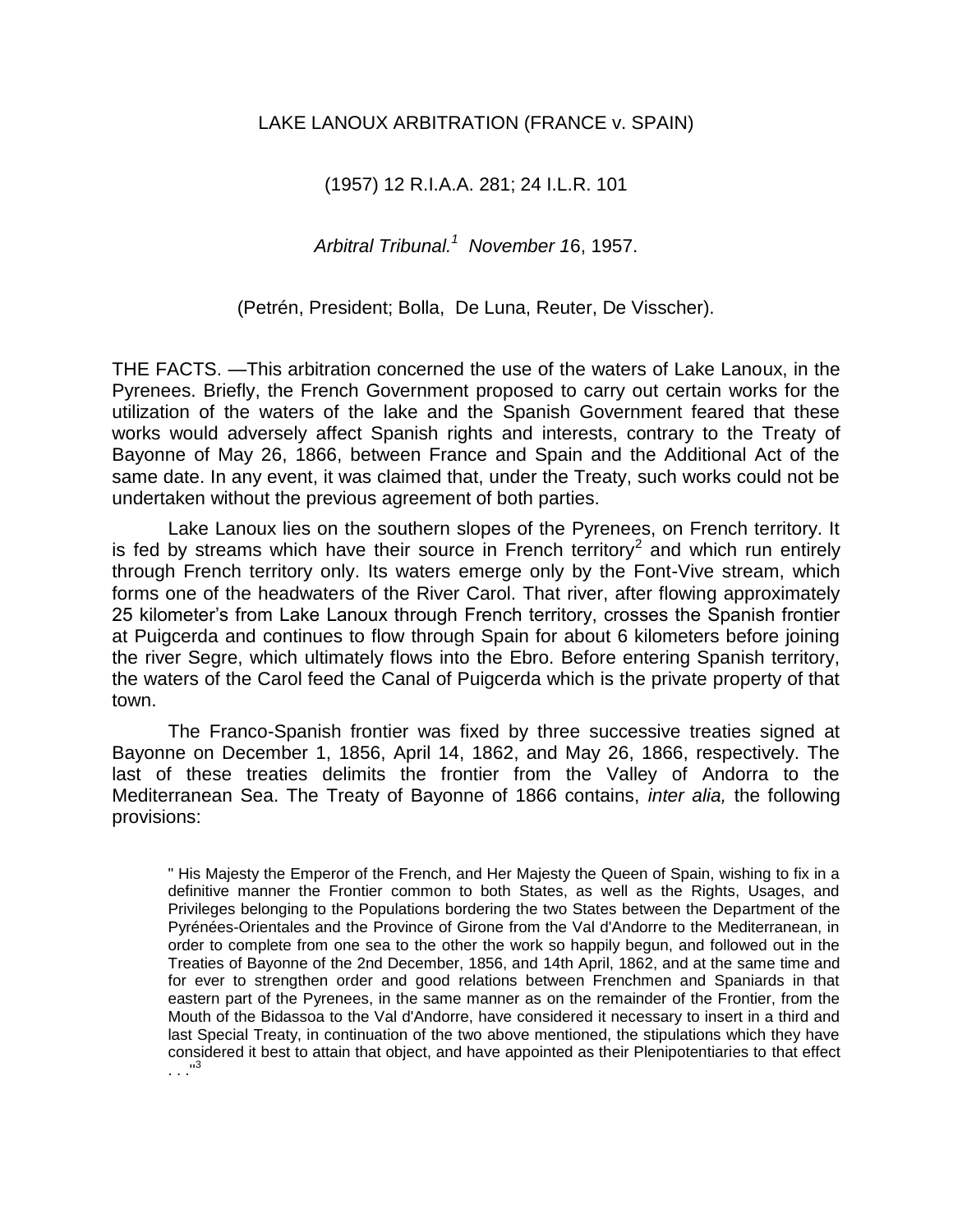## LAKE LANOUX ARBITRATION (FRANCE v. SPAIN)

## (1957) 12 R.I.A.A. 281; 24 I.L.R. 101

*Arbitral Tribunal.<sup>1</sup> November 1*6, 1957.

(Petrén, President; Bolla, De Luna, Reuter, De Visscher).

THE FACTS. —This arbitration concerned the use of the waters of Lake Lanoux, in the Pyrenees. Briefly, the French Government proposed to carry out certain works for the utilization of the waters of the lake and the Spanish Government feared that these works would adversely affect Spanish rights and interests, contrary to the Treaty of Bayonne of May 26, 1866, between France and Spain and the Additional Act of the same date. In any event, it was claimed that, under the Treaty, such works could not be undertaken without the previous agreement of both parties.

Lake Lanoux lies on the southern slopes of the Pyrenees, on French territory. It is fed by streams which have their source in French territory<sup>2</sup> and which run entirely through French territory only. Its waters emerge only by the Font-Vive stream, which forms one of the headwaters of the River Carol. That river, after flowing approximately 25 kilometer's from Lake Lanoux through French territory, crosses the Spanish frontier at Puigcerda and continues to flow through Spain for about 6 kilometers before joining the river Segre, which ultimately flows into the Ebro. Before entering Spanish territory, the waters of the Carol feed the Canal of Puigcerda which is the private property of that town.

The Franco-Spanish frontier was fixed by three successive treaties signed at Bayonne on December 1, 1856, April 14, 1862, and May 26, 1866, respectively. The last of these treaties delimits the frontier from the Valley of Andorra to the Mediterranean Sea. The Treaty of Bayonne of 1866 contains, *inter alia,* the following provisions:

" His Majesty the Emperor of the French, and Her Majesty the Queen of Spain, wishing to fix in a definitive manner the Frontier common to both States, as well as the Rights, Usages, and Privileges belonging to the Populations bordering the two States between the Department of the Pyrénées-Orientales and the Province of Girone from the Val d'Andorre to the Mediterranean, in order to complete from one sea to the other the work so happily begun, and followed out in the Treaties of Bayonne of the 2nd December, 1856, and 14th April, 1862, and at the same time and for ever to strengthen order and good relations between Frenchmen and Spaniards in that eastern part of the Pyrenees, in the same manner as on the remainder of the Frontier, from the Mouth of the Bidassoa to the Val d'Andorre, have considered it necessary to insert in a third and last Special Treaty, in continuation of the two above mentioned, the stipulations which they have considered it best to attain that object, and have appointed as their Plenipotentiaries to that effect . . .''<sup>3</sup>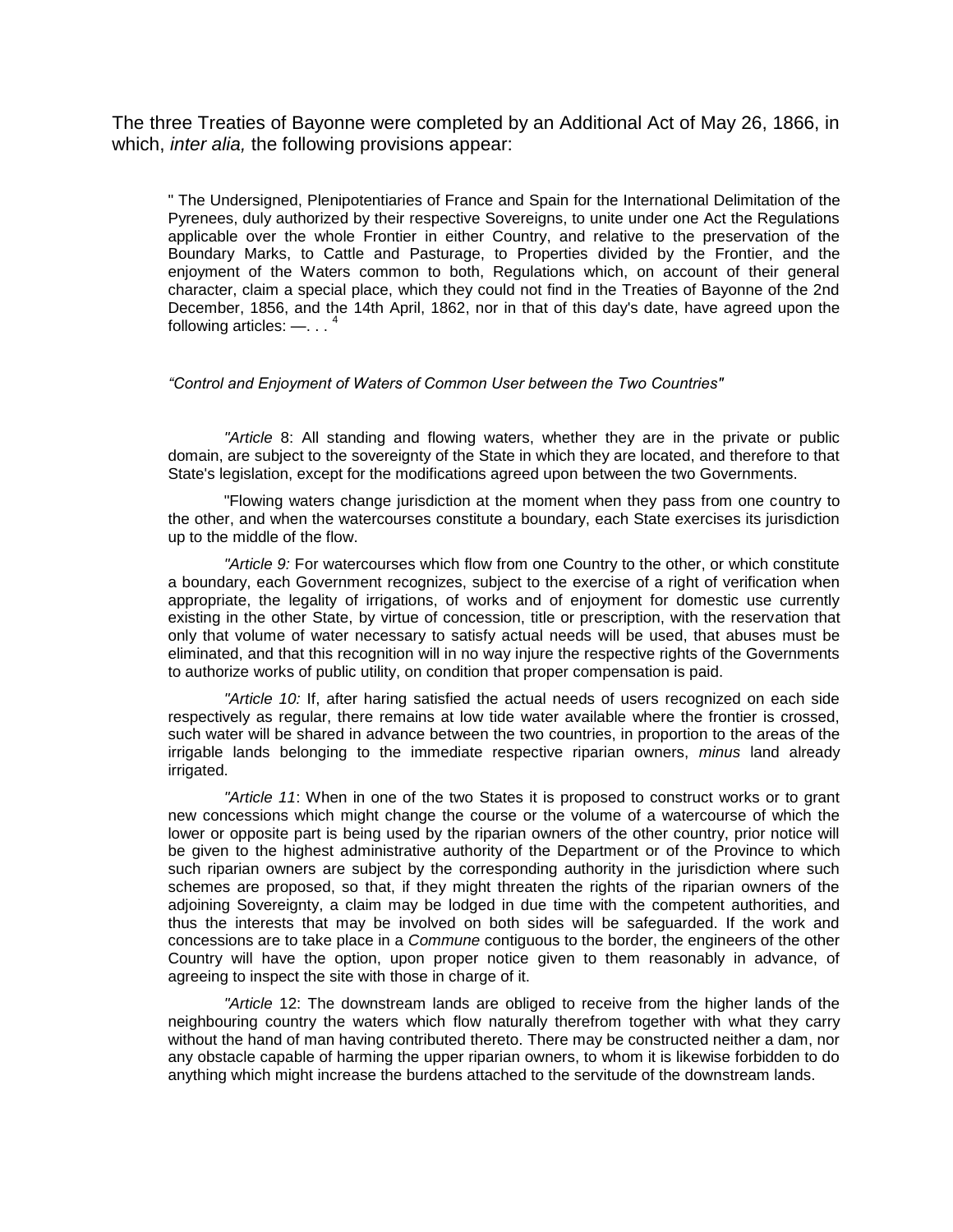The three Treaties of Bayonne were completed by an Additional Act of May 26, 1866, in which, *inter alia,* the following provisions appear:

" The Undersigned, Plenipotentiaries of France and Spain for the International Delimitation of the Pyrenees, duly authorized by their respective Sovereigns, to unite under one Act the Regulations applicable over the whole Frontier in either Country, and relative to the preservation of the Boundary Marks, to Cattle and Pasturage, to Properties divided by the Frontier, and the enjoyment of the Waters common to both, Regulations which, on account of their general character, claim a special place, which they could not find in the Treaties of Bayonne of the 2nd December, 1856, and the 14th April, 1862, nor in that of this day's date, have agreed upon the following articles:  $-$ ...<sup>4</sup>

#### *"Control and Enjoyment of Waters of Common User between the Two Countries"*

*"Article* 8: All standing and flowing waters, whether they are in the private or public domain, are subject to the sovereignty of the State in which they are located, and therefore to that State's legislation, except for the modifications agreed upon between the two Governments.

"Flowing waters change jurisdiction at the moment when they pass from one country to the other, and when the watercourses constitute a boundary, each State exercises its jurisdiction up to the middle of the flow.

*"Article 9:* For watercourses which flow from one Country to the other, or which constitute a boundary, each Government recognizes, subject to the exercise of a right of verification when appropriate, the legality of irrigations, of works and of enjoyment for domestic use currently existing in the other State, by virtue of concession, title or prescription, with the reservation that only that volume of water necessary to satisfy actual needs will be used, that abuses must be eliminated, and that this recognition will in no way injure the respective rights of the Governments to authorize works of public utility, on condition that proper compensation is paid.

*"Article 10:* If, after haring satisfied the actual needs of users recognized on each side respectively as regular, there remains at low tide water available where the frontier is crossed, such water will be shared in advance between the two countries, in proportion to the areas of the irrigable lands belonging to the immediate respective riparian owners, *minus* land already irrigated.

*"Article 11*: When in one of the two States it is proposed to construct works or to grant new concessions which might change the course or the volume of a watercourse of which the lower or opposite part is being used by the riparian owners of the other country, prior notice will be given to the highest administrative authority of the Department or of the Province to which such riparian owners are subject by the corresponding authority in the jurisdiction where such schemes are proposed, so that, if they might threaten the rights of the riparian owners of the adjoining Sovereignty, a claim may be lodged in due time with the competent authorities, and thus the interests that may be involved on both sides will be safeguarded. If the work and concessions are to take place in a *Commune* contiguous to the border, the engineers of the other Country will have the option, upon proper notice given to them reasonably in advance, of agreeing to inspect the site with those in charge of it.

*"Article* 12: The downstream lands are obliged to receive from the higher lands of the neighbouring country the waters which flow naturally therefrom together with what they carry without the hand of man having contributed thereto. There may be constructed neither a dam, nor any obstacle capable of harming the upper riparian owners, to whom it is likewise forbidden to do anything which might increase the burdens attached to the servitude of the downstream lands.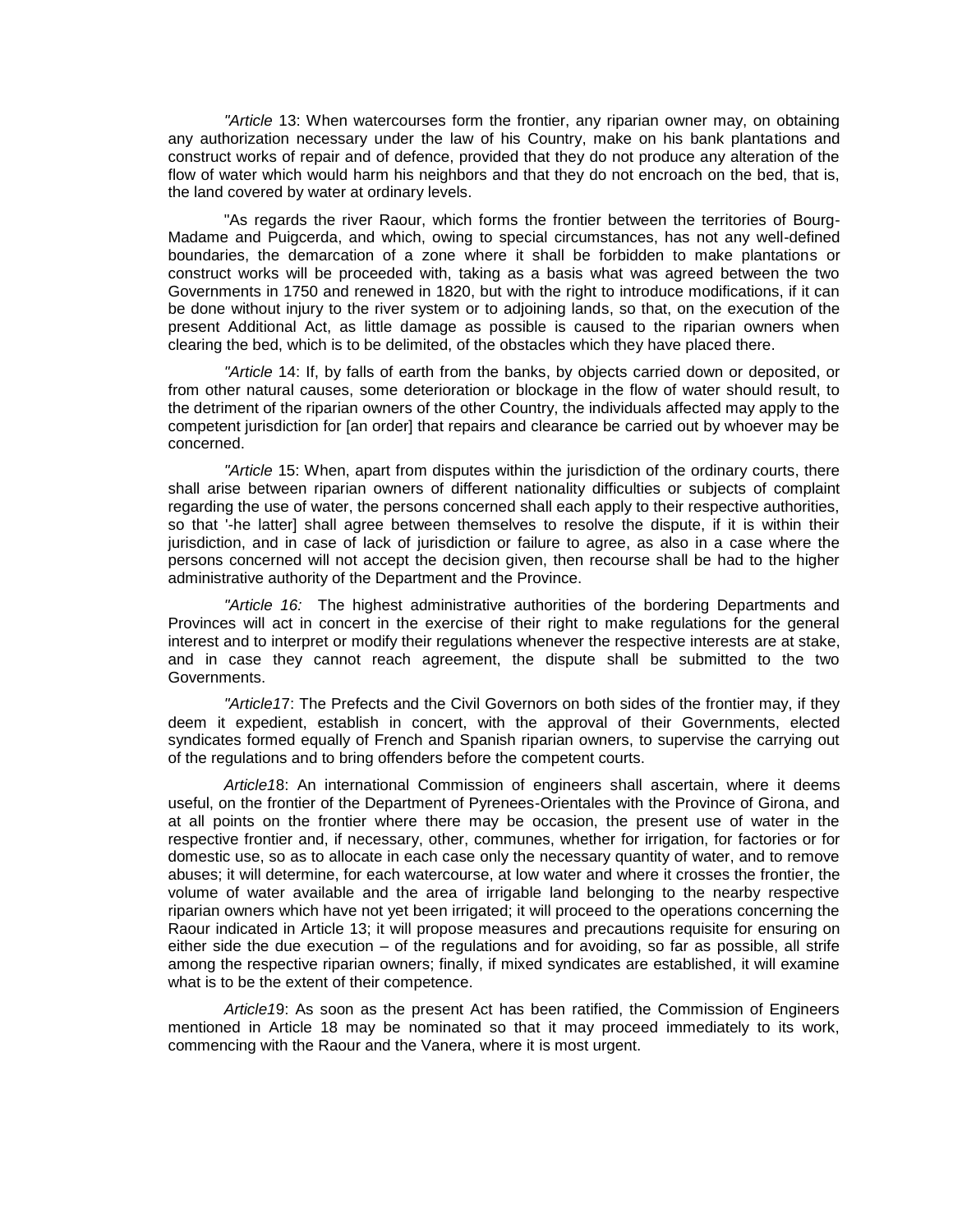*"Article* 13: When watercourses form the frontier, any riparian owner may, on obtaining any authorization necessary under the law of his Country, make on his bank plantations and construct works of repair and of defence, provided that they do not produce any alteration of the flow of water which would harm his neighbors and that they do not encroach on the bed, that is, the land covered by water at ordinary levels.

"As regards the river Raour, which forms the frontier between the territories of Bourg-Madame and Puigcerda, and which, owing to special circumstances, has not any well-defined boundaries, the demarcation of a zone where it shall be forbidden to make plantations or construct works will be proceeded with, taking as a basis what was agreed between the two Governments in 1750 and renewed in 1820, but with the right to introduce modifications, if it can be done without injury to the river system or to adjoining lands, so that, on the execution of the present Additional Act, as little damage as possible is caused to the riparian owners when clearing the bed, which is to be delimited, of the obstacles which they have placed there.

*"Article* 14: If, by falls of earth from the banks, by objects carried down or deposited, or from other natural causes, some deterioration or blockage in the flow of water should result, to the detriment of the riparian owners of the other Country, the individuals affected may apply to the competent jurisdiction for [an order] that repairs and clearance be carried out by whoever may be concerned.

*"Article* 15: When, apart from disputes within the jurisdiction of the ordinary courts, there shall arise between riparian owners of different nationality difficulties or subjects of complaint regarding the use of water, the persons concerned shall each apply to their respective authorities, so that '-he latter] shall agree between themselves to resolve the dispute, if it is within their jurisdiction, and in case of lack of jurisdiction or failure to agree, as also in a case where the persons concerned will not accept the decision given, then recourse shall be had to the higher administrative authority of the Department and the Province.

*"Article 16:* The highest administrative authorities of the bordering Departments and Provinces will act in concert in the exercise of their right to make regulations for the general interest and to interpret or modify their regulations whenever the respective interests are at stake, and in case they cannot reach agreement, the dispute shall be submitted to the two Governments.

*"Article1*7: The Prefects and the Civil Governors on both sides of the frontier may, if they deem it expedient, establish in concert, with the approval of their Governments, elected syndicates formed equally of French and Spanish riparian owners, to supervise the carrying out of the regulations and to bring offenders before the competent courts.

*Article1*8: An international Commission of engineers shall ascertain, where it deems useful, on the frontier of the Department of Pyrenees-Orientales with the Province of Girona, and at all points on the frontier where there may be occasion, the present use of water in the respective frontier and, if necessary, other, communes, whether for irrigation, for factories or for domestic use, so as to allocate in each case only the necessary quantity of water, and to remove abuses; it will determine, for each watercourse, at low water and where it crosses the frontier, the volume of water available and the area of irrigable land belonging to the nearby respective riparian owners which have not yet been irrigated; it will proceed to the operations concerning the Raour indicated in Article 13; it will propose measures and precautions requisite for ensuring on either side the due execution – of the regulations and for avoiding, so far as possible, all strife among the respective riparian owners; finally, if mixed syndicates are established, it will examine what is to be the extent of their competence.

*Article1*9: As soon as the present Act has been ratified, the Commission of Engineers mentioned in Article 18 may be nominated so that it may proceed immediately to its work, commencing with the Raour and the Vanera, where it is most urgent.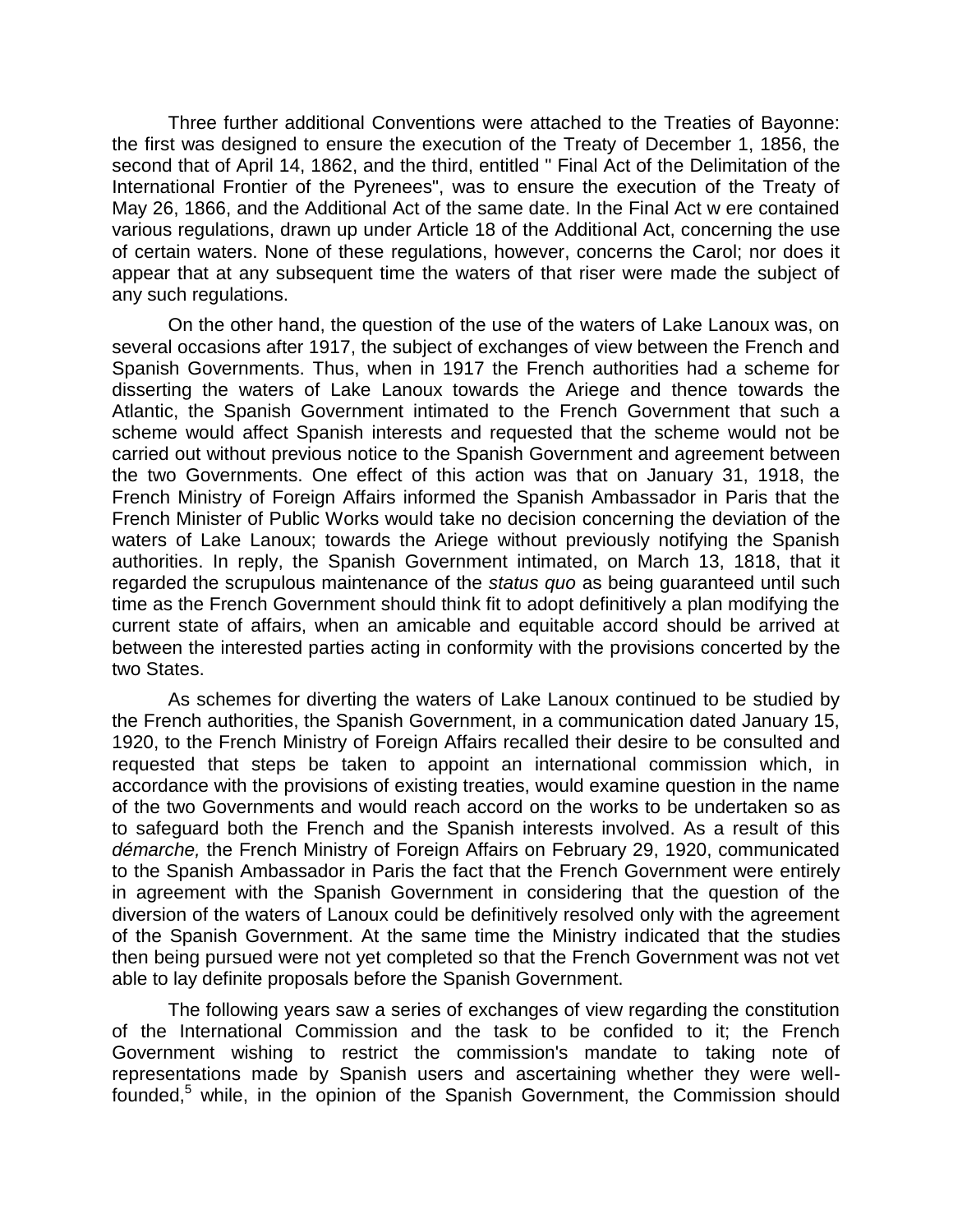Three further additional Conventions were attached to the Treaties of Bayonne: the first was designed to ensure the execution of the Treaty of December 1, 1856, the second that of April 14, 1862, and the third, entitled " Final Act of the Delimitation of the International Frontier of the Pyrenees", was to ensure the execution of the Treaty of May 26, 1866, and the Additional Act of the same date. In the Final Act w ere contained various regulations, drawn up under Article 18 of the Additional Act, concerning the use of certain waters. None of these regulations, however, concerns the Carol; nor does it appear that at any subsequent time the waters of that riser were made the subject of any such regulations.

On the other hand, the question of the use of the waters of Lake Lanoux was, on several occasions after 1917, the subject of exchanges of view between the French and Spanish Governments. Thus, when in 1917 the French authorities had a scheme for disserting the waters of Lake Lanoux towards the Ariege and thence towards the Atlantic, the Spanish Government intimated to the French Government that such a scheme would affect Spanish interests and requested that the scheme would not be carried out without previous notice to the Spanish Government and agreement between the two Governments. One effect of this action was that on January 31, 1918, the French Ministry of Foreign Affairs informed the Spanish Ambassador in Paris that the French Minister of Public Works would take no decision concerning the deviation of the waters of Lake Lanoux; towards the Ariege without previously notifying the Spanish authorities. In reply, the Spanish Government intimated, on March 13, 1818, that it regarded the scrupulous maintenance of the *status quo* as being guaranteed until such time as the French Government should think fit to adopt definitively a plan modifying the current state of affairs, when an amicable and equitable accord should be arrived at between the interested parties acting in conformity with the provisions concerted by the two States.

As schemes for diverting the waters of Lake Lanoux continued to be studied by the French authorities, the Spanish Government, in a communication dated January 15, 1920, to the French Ministry of Foreign Affairs recalled their desire to be consulted and requested that steps be taken to appoint an international commission which, in accordance with the provisions of existing treaties, would examine question in the name of the two Governments and would reach accord on the works to be undertaken so as to safeguard both the French and the Spanish interests involved. As a result of this *démarche,* the French Ministry of Foreign Affairs on February 29, 1920, communicated to the Spanish Ambassador in Paris the fact that the French Government were entirely in agreement with the Spanish Government in considering that the question of the diversion of the waters of Lanoux could be definitively resolved only with the agreement of the Spanish Government. At the same time the Ministry indicated that the studies then being pursued were not yet completed so that the French Government was not vet able to lay definite proposals before the Spanish Government.

The following years saw a series of exchanges of view regarding the constitution of the International Commission and the task to be confided to it; the French Government wishing to restrict the commission's mandate to taking note of representations made by Spanish users and ascertaining whether they were wellfounded,<sup>5</sup> while, in the opinion of the Spanish Government, the Commission should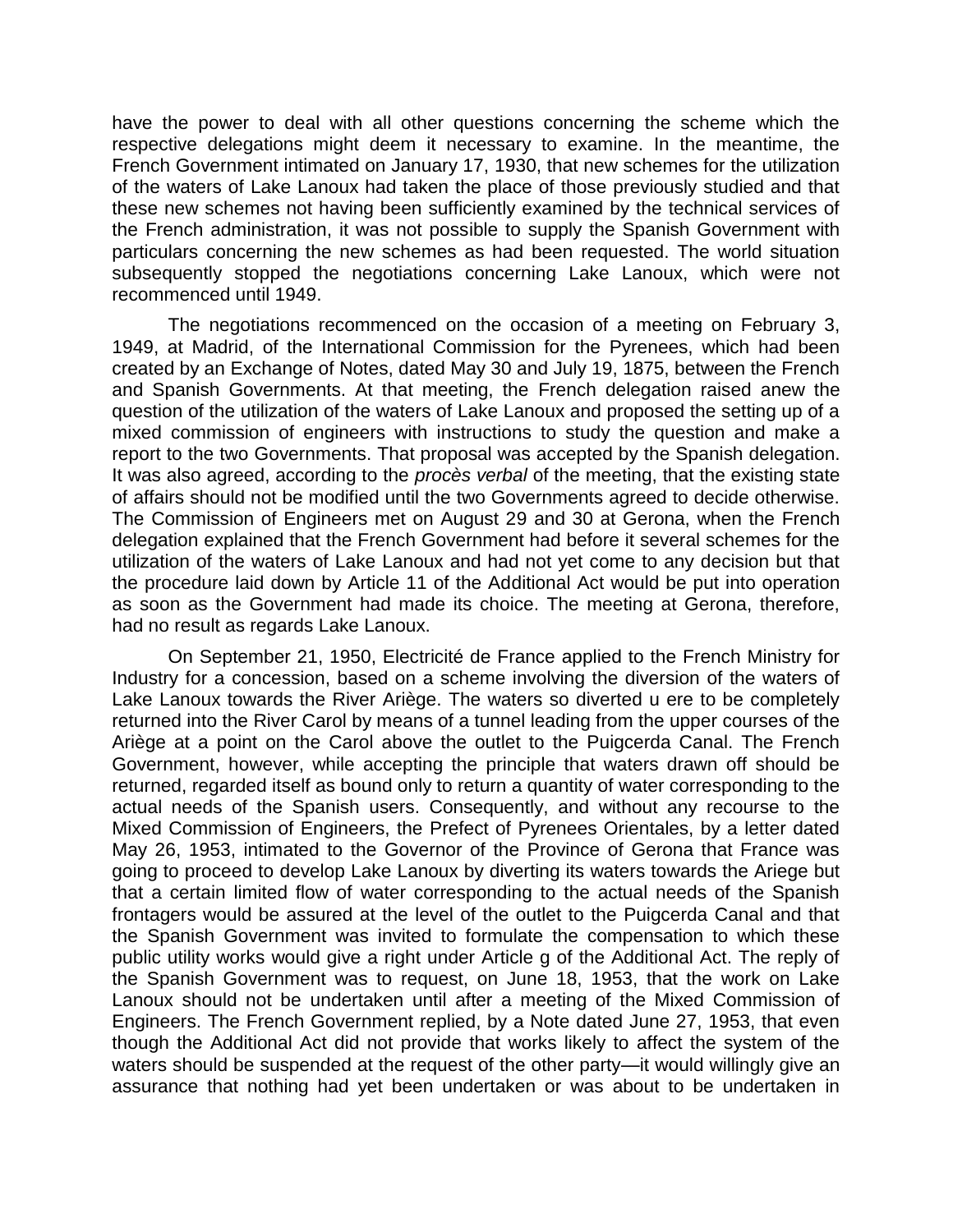have the power to deal with all other questions concerning the scheme which the respective delegations might deem it necessary to examine. In the meantime, the French Government intimated on January 17, 1930, that new schemes for the utilization of the waters of Lake Lanoux had taken the place of those previously studied and that these new schemes not having been sufficiently examined by the technical services of the French administration, it was not possible to supply the Spanish Government with particulars concerning the new schemes as had been requested. The world situation subsequently stopped the negotiations concerning Lake Lanoux, which were not recommenced until 1949.

The negotiations recommenced on the occasion of a meeting on February 3, 1949, at Madrid, of the International Commission for the Pyrenees, which had been created by an Exchange of Notes, dated May 30 and July 19, 1875, between the French and Spanish Governments. At that meeting, the French delegation raised anew the question of the utilization of the waters of Lake Lanoux and proposed the setting up of a mixed commission of engineers with instructions to study the question and make a report to the two Governments. That proposal was accepted by the Spanish delegation. It was also agreed, according to the *procès verbal* of the meeting, that the existing state of affairs should not be modified until the two Governments agreed to decide otherwise. The Commission of Engineers met on August 29 and 30 at Gerona, when the French delegation explained that the French Government had before it several schemes for the utilization of the waters of Lake Lanoux and had not yet come to any decision but that the procedure laid down by Article 11 of the Additional Act would be put into operation as soon as the Government had made its choice. The meeting at Gerona, therefore, had no result as regards Lake Lanoux.

On September 21, 1950, Electricité de France applied to the French Ministry for Industry for a concession, based on a scheme involving the diversion of the waters of Lake Lanoux towards the River Ariège. The waters so diverted u ere to be completely returned into the River Carol by means of a tunnel leading from the upper courses of the Ariège at a point on the Carol above the outlet to the Puigcerda Canal. The French Government, however, while accepting the principle that waters drawn off should be returned, regarded itself as bound only to return a quantity of water corresponding to the actual needs of the Spanish users. Consequently, and without any recourse to the Mixed Commission of Engineers, the Prefect of Pyrenees Orientales, by a letter dated May 26, 1953, intimated to the Governor of the Province of Gerona that France was going to proceed to develop Lake Lanoux by diverting its waters towards the Ariege but that a certain limited flow of water corresponding to the actual needs of the Spanish frontagers would be assured at the level of the outlet to the Puigcerda Canal and that the Spanish Government was invited to formulate the compensation to which these public utility works would give a right under Article g of the Additional Act. The reply of the Spanish Government was to request, on June 18, 1953, that the work on Lake Lanoux should not be undertaken until after a meeting of the Mixed Commission of Engineers. The French Government replied, by a Note dated June 27, 1953, that even though the Additional Act did not provide that works likely to affect the system of the waters should be suspended at the request of the other party—it would willingly give an assurance that nothing had yet been undertaken or was about to be undertaken in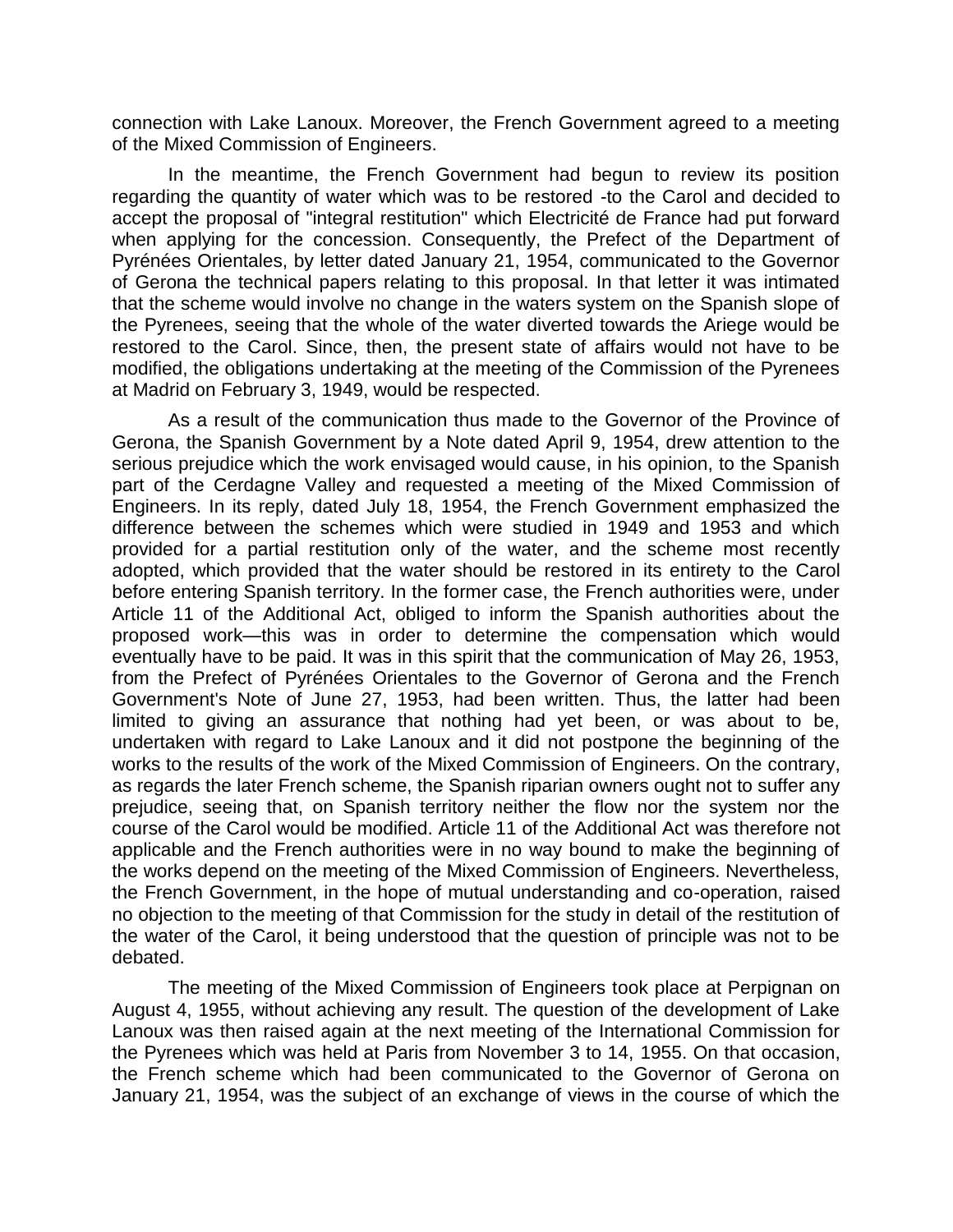connection with Lake Lanoux. Moreover, the French Government agreed to a meeting of the Mixed Commission of Engineers.

In the meantime, the French Government had begun to review its position regarding the quantity of water which was to be restored -to the Carol and decided to accept the proposal of "integral restitution" which Electricité de France had put forward when applying for the concession. Consequently, the Prefect of the Department of Pyrénées Orientales, by letter dated January 21, 1954, communicated to the Governor of Gerona the technical papers relating to this proposal. In that letter it was intimated that the scheme would involve no change in the waters system on the Spanish slope of the Pyrenees, seeing that the whole of the water diverted towards the Ariege would be restored to the Carol. Since, then, the present state of affairs would not have to be modified, the obligations undertaking at the meeting of the Commission of the Pyrenees at Madrid on February 3, 1949, would be respected.

As a result of the communication thus made to the Governor of the Province of Gerona, the Spanish Government by a Note dated April 9, 1954, drew attention to the serious prejudice which the work envisaged would cause, in his opinion, to the Spanish part of the Cerdagne Valley and requested a meeting of the Mixed Commission of Engineers. In its reply, dated July 18, 1954, the French Government emphasized the difference between the schemes which were studied in 1949 and 1953 and which provided for a partial restitution only of the water, and the scheme most recently adopted, which provided that the water should be restored in its entirety to the Carol before entering Spanish territory. In the former case, the French authorities were, under Article 11 of the Additional Act, obliged to inform the Spanish authorities about the proposed work—this was in order to determine the compensation which would eventually have to be paid. It was in this spirit that the communication of May 26, 1953, from the Prefect of Pyrénées Orientales to the Governor of Gerona and the French Government's Note of June 27, 1953, had been written. Thus, the latter had been limited to giving an assurance that nothing had yet been, or was about to be, undertaken with regard to Lake Lanoux and it did not postpone the beginning of the works to the results of the work of the Mixed Commission of Engineers. On the contrary, as regards the later French scheme, the Spanish riparian owners ought not to suffer any prejudice, seeing that, on Spanish territory neither the flow nor the system nor the course of the Carol would be modified. Article 11 of the Additional Act was therefore not applicable and the French authorities were in no way bound to make the beginning of the works depend on the meeting of the Mixed Commission of Engineers. Nevertheless, the French Government, in the hope of mutual understanding and co-operation, raised no objection to the meeting of that Commission for the study in detail of the restitution of the water of the Carol, it being understood that the question of principle was not to be debated.

The meeting of the Mixed Commission of Engineers took place at Perpignan on August 4, 1955, without achieving any result. The question of the development of Lake Lanoux was then raised again at the next meeting of the International Commission for the Pyrenees which was held at Paris from November 3 to 14, 1955. On that occasion, the French scheme which had been communicated to the Governor of Gerona on January 21, 1954, was the subject of an exchange of views in the course of which the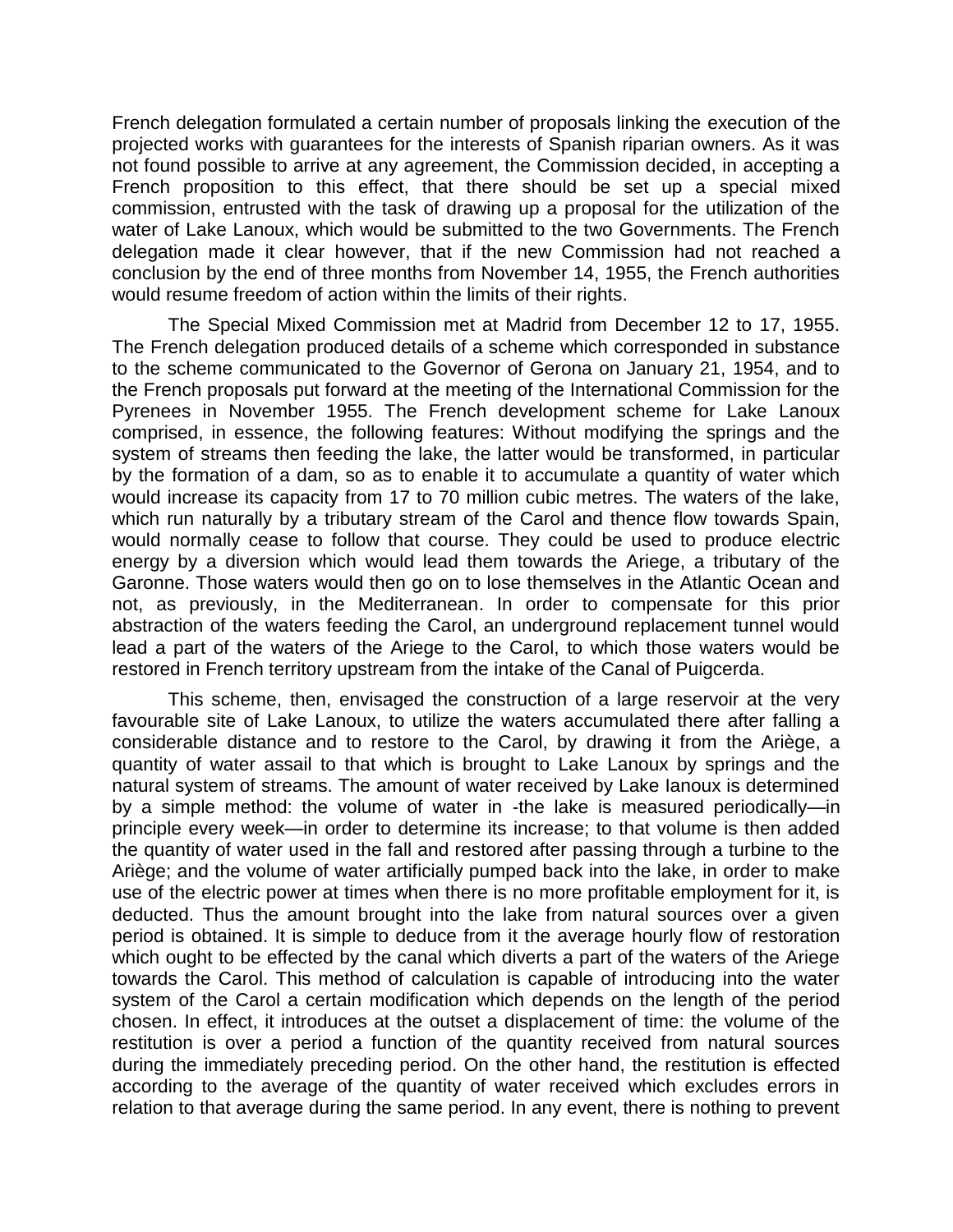French delegation formulated a certain number of proposals linking the execution of the projected works with guarantees for the interests of Spanish riparian owners. As it was not found possible to arrive at any agreement, the Commission decided, in accepting a French proposition to this effect, that there should be set up a special mixed commission, entrusted with the task of drawing up a proposal for the utilization of the water of Lake Lanoux, which would be submitted to the two Governments. The French delegation made it clear however, that if the new Commission had not reached a conclusion by the end of three months from November 14, 1955, the French authorities would resume freedom of action within the limits of their rights.

The Special Mixed Commission met at Madrid from December 12 to 17, 1955. The French delegation produced details of a scheme which corresponded in substance to the scheme communicated to the Governor of Gerona on January 21, 1954, and to the French proposals put forward at the meeting of the International Commission for the Pyrenees in November 1955. The French development scheme for Lake Lanoux comprised, in essence, the following features: Without modifying the springs and the system of streams then feeding the lake, the latter would be transformed, in particular by the formation of a dam, so as to enable it to accumulate a quantity of water which would increase its capacity from 17 to 70 million cubic metres. The waters of the lake, which run naturally by a tributary stream of the Carol and thence flow towards Spain, would normally cease to follow that course. They could be used to produce electric energy by a diversion which would lead them towards the Ariege, a tributary of the Garonne. Those waters would then go on to lose themselves in the Atlantic Ocean and not, as previously, in the Mediterranean. In order to compensate for this prior abstraction of the waters feeding the Carol, an underground replacement tunnel would lead a part of the waters of the Ariege to the Carol, to which those waters would be restored in French territory upstream from the intake of the Canal of Puigcerda.

This scheme, then, envisaged the construction of a large reservoir at the very favourable site of Lake Lanoux, to utilize the waters accumulated there after falling a considerable distance and to restore to the Carol, by drawing it from the Ariège, a quantity of water assail to that which is brought to Lake Lanoux by springs and the natural system of streams. The amount of water received by Lake Ianoux is determined by a simple method: the volume of water in -the lake is measured periodically—in principle every week—in order to determine its increase; to that volume is then added the quantity of water used in the fall and restored after passing through a turbine to the Ariège; and the volume of water artificially pumped back into the lake, in order to make use of the electric power at times when there is no more profitable employment for it, is deducted. Thus the amount brought into the lake from natural sources over a given period is obtained. It is simple to deduce from it the average hourly flow of restoration which ought to be effected by the canal which diverts a part of the waters of the Ariege towards the Carol. This method of calculation is capable of introducing into the water system of the Carol a certain modification which depends on the length of the period chosen. In effect, it introduces at the outset a displacement of time: the volume of the restitution is over a period a function of the quantity received from natural sources during the immediately preceding period. On the other hand, the restitution is effected according to the average of the quantity of water received which excludes errors in relation to that average during the same period. In any event, there is nothing to prevent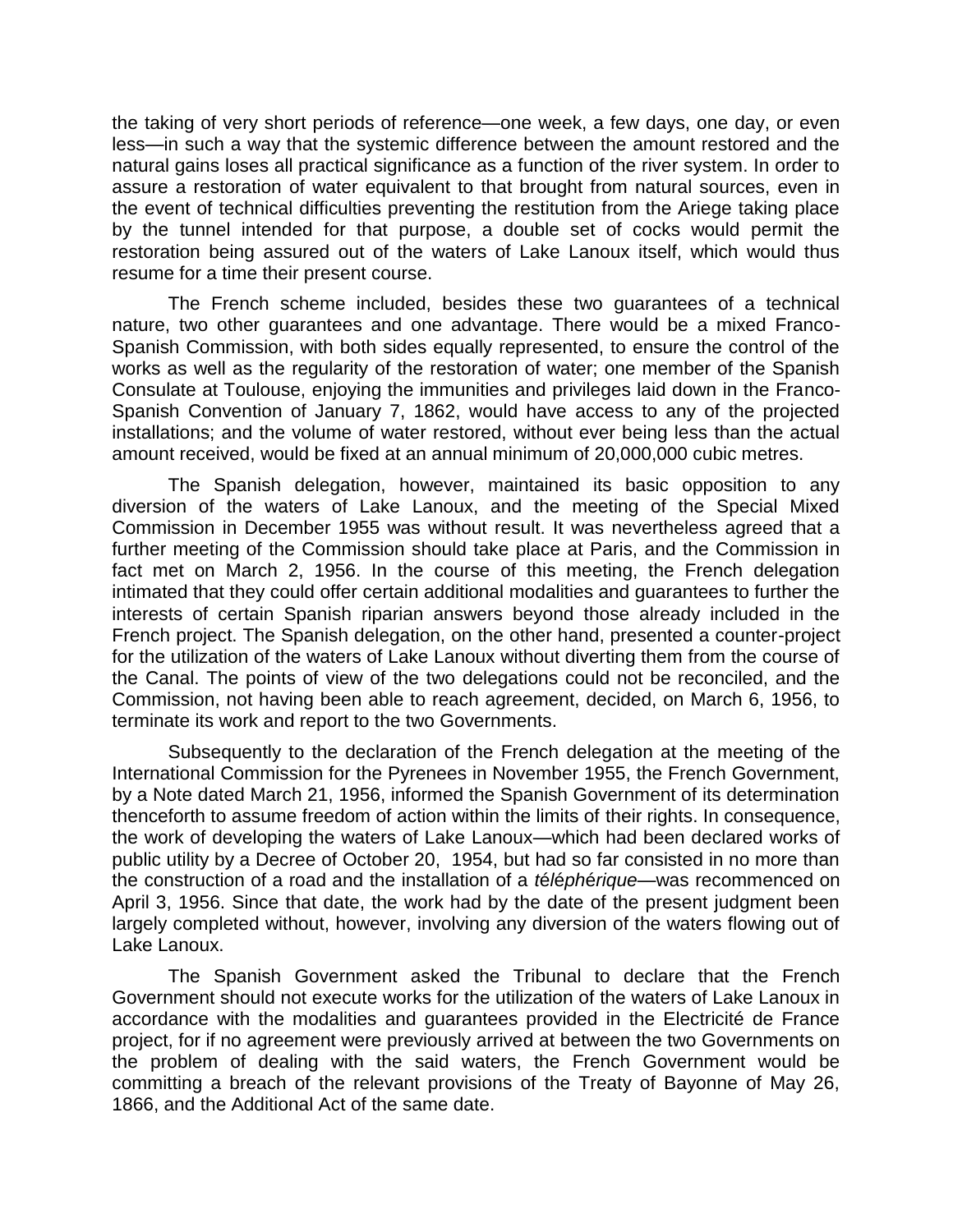the taking of very short periods of reference—one week, a few days, one day, or even less—in such a way that the systemic difference between the amount restored and the natural gains loses all practical significance as a function of the river system. In order to assure a restoration of water equivalent to that brought from natural sources, even in the event of technical difficulties preventing the restitution from the Ariege taking place by the tunnel intended for that purpose, a double set of cocks would permit the restoration being assured out of the waters of Lake Lanoux itself, which would thus resume for a time their present course.

The French scheme included, besides these two guarantees of a technical nature, two other guarantees and one advantage. There would be a mixed Franco-Spanish Commission, with both sides equally represented, to ensure the control of the works as well as the regularity of the restoration of water; one member of the Spanish Consulate at Toulouse, enjoying the immunities and privileges laid down in the Franco-Spanish Convention of January 7, 1862, would have access to any of the projected installations; and the volume of water restored, without ever being less than the actual amount received, would be fixed at an annual minimum of 20,000,000 cubic metres.

The Spanish delegation, however, maintained its basic opposition to any diversion of the waters of Lake Lanoux, and the meeting of the Special Mixed Commission in December 1955 was without result. It was nevertheless agreed that a further meeting of the Commission should take place at Paris, and the Commission in fact met on March 2, 1956. In the course of this meeting, the French delegation intimated that they could offer certain additional modalities and guarantees to further the interests of certain Spanish riparian answers beyond those already included in the French project. The Spanish delegation, on the other hand, presented a counter-project for the utilization of the waters of Lake Lanoux without diverting them from the course of the Canal. The points of view of the two delegations could not be reconciled, and the Commission, not having been able to reach agreement, decided, on March 6, 1956, to terminate its work and report to the two Governments.

Subsequently to the declaration of the French delegation at the meeting of the International Commission for the Pyrenees in November 1955, the French Government, by a Note dated March 21, 1956, informed the Spanish Government of its determination thenceforth to assume freedom of action within the limits of their rights. In consequence, the work of developing the waters of Lake Lanoux—which had been declared works of public utility by a Decree of October 20, 1954, but had so far consisted in no more than the construction of a road and the installation of a *t*é*l*é*ph*é*rique*—was recommenced on April 3, 1956. Since that date, the work had by the date of the present judgment been largely completed without, however, involving any diversion of the waters flowing out of Lake Lanoux.

The Spanish Government asked the Tribunal to declare that the French Government should not execute works for the utilization of the waters of Lake Lanoux in accordance with the modalities and guarantees provided in the Electricité de France project, for if no agreement were previously arrived at between the two Governments on the problem of dealing with the said waters, the French Government would be committing a breach of the relevant provisions of the Treaty of Bayonne of May 26, 1866, and the Additional Act of the same date.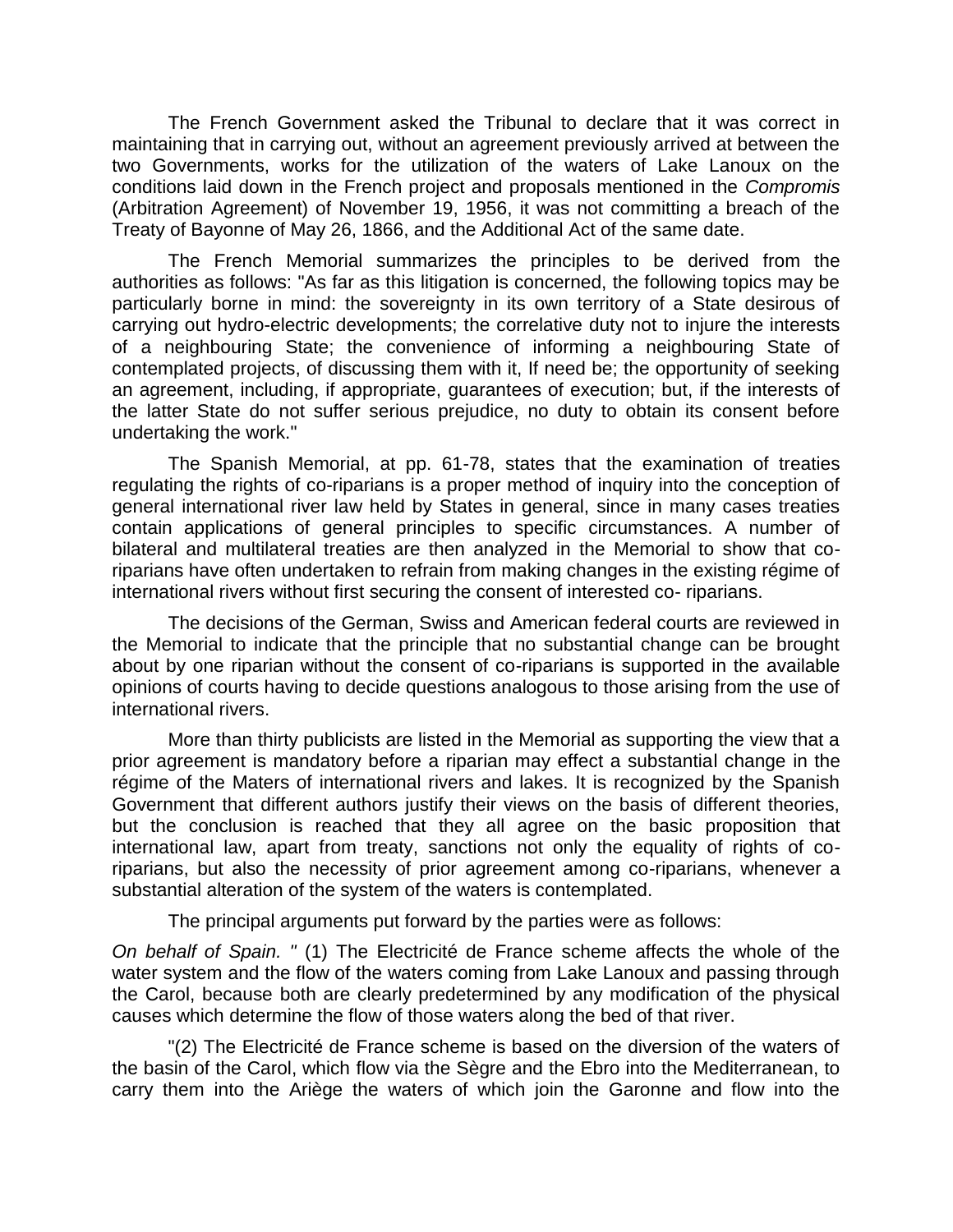The French Government asked the Tribunal to declare that it was correct in maintaining that in carrying out, without an agreement previously arrived at between the two Governments, works for the utilization of the waters of Lake Lanoux on the conditions laid down in the French project and proposals mentioned in the *Compromis*  (Arbitration Agreement) of November 19, 1956, it was not committing a breach of the Treaty of Bayonne of May 26, 1866, and the Additional Act of the same date.

The French Memorial summarizes the principles to be derived from the authorities as follows: "As far as this litigation is concerned, the following topics may be particularly borne in mind: the sovereignty in its own territory of a State desirous of carrying out hydro-electric developments; the correlative duty not to injure the interests of a neighbouring State; the convenience of informing a neighbouring State of contemplated projects, of discussing them with it, If need be; the opportunity of seeking an agreement, including, if appropriate, guarantees of execution; but, if the interests of the latter State do not suffer serious prejudice, no duty to obtain its consent before undertaking the work."

The Spanish Memorial, at pp. 61-78, states that the examination of treaties regulating the rights of co-riparians is a proper method of inquiry into the conception of general international river law held by States in general, since in many cases treaties contain applications of general principles to specific circumstances. A number of bilateral and multilateral treaties are then analyzed in the Memorial to show that coriparians have often undertaken to refrain from making changes in the existing régime of international rivers without first securing the consent of interested co- riparians.

The decisions of the German, Swiss and American federal courts are reviewed in the Memorial to indicate that the principle that no substantial change can be brought about by one riparian without the consent of co-riparians is supported in the available opinions of courts having to decide questions analogous to those arising from the use of international rivers.

More than thirty publicists are listed in the Memorial as supporting the view that a prior agreement is mandatory before a riparian may effect a substantial change in the régime of the Maters of international rivers and lakes. It is recognized by the Spanish Government that different authors justify their views on the basis of different theories, but the conclusion is reached that they all agree on the basic proposition that international law, apart from treaty, sanctions not only the equality of rights of coriparians, but also the necessity of prior agreement among co-riparians, whenever a substantial alteration of the system of the waters is contemplated.

The principal arguments put forward by the parties were as follows:

*On behalf of Spain. "* (1) The Electricité de France scheme affects the whole of the water system and the flow of the waters coming from Lake Lanoux and passing through the Carol, because both are clearly predetermined by any modification of the physical causes which determine the flow of those waters along the bed of that river.

"(2) The Electricité de France scheme is based on the diversion of the waters of the basin of the Carol, which flow via the Sègre and the Ebro into the Mediterranean, to carry them into the Ariège the waters of which join the Garonne and flow into the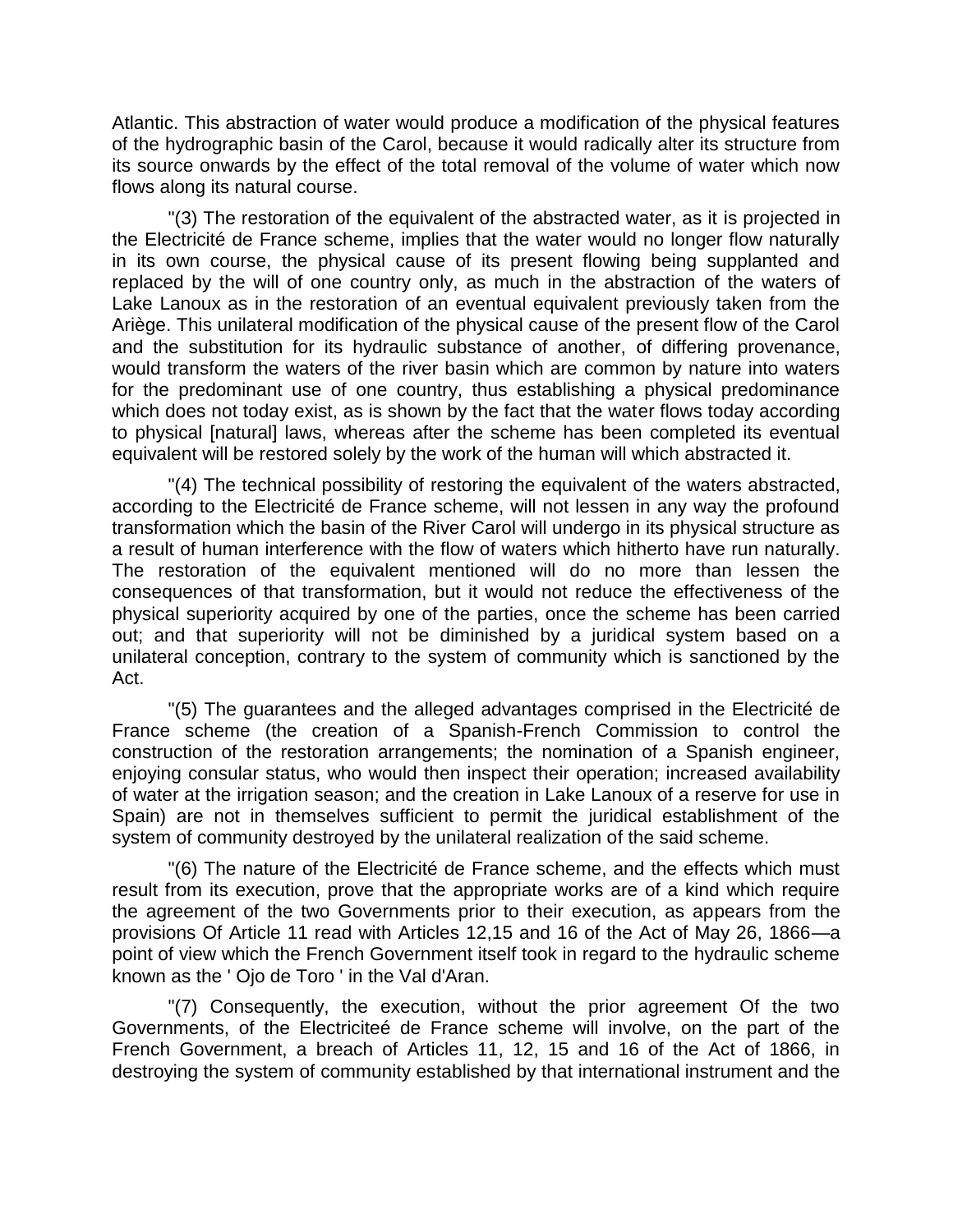Atlantic. This abstraction of water would produce a modification of the physical features of the hydrographic basin of the Carol, because it would radically alter its structure from its source onwards by the effect of the total removal of the volume of water which now flows along its natural course.

"(3) The restoration of the equivalent of the abstracted water, as it is projected in the Electricité de France scheme, implies that the water would no longer flow naturally in its own course, the physical cause of its present flowing being supplanted and replaced by the will of one country only, as much in the abstraction of the waters of Lake Lanoux as in the restoration of an eventual equivalent previously taken from the Ariège. This unilateral modification of the physical cause of the present flow of the Carol and the substitution for its hydraulic substance of another, of differing provenance, would transform the waters of the river basin which are common by nature into waters for the predominant use of one country, thus establishing a physical predominance which does not today exist, as is shown by the fact that the water flows today according to physical [natural] laws, whereas after the scheme has been completed its eventual equivalent will be restored solely by the work of the human will which abstracted it.

"(4) The technical possibility of restoring the equivalent of the waters abstracted, according to the Electricité de France scheme, will not lessen in any way the profound transformation which the basin of the River Carol will undergo in its physical structure as a result of human interference with the flow of waters which hitherto have run naturally. The restoration of the equivalent mentioned will do no more than lessen the consequences of that transformation, but it would not reduce the effectiveness of the physical superiority acquired by one of the parties, once the scheme has been carried out; and that superiority will not be diminished by a juridical system based on a unilateral conception, contrary to the system of community which is sanctioned by the Act.

"(5) The guarantees and the alleged advantages comprised in the Electricité de France scheme (the creation of a Spanish-French Commission to control the construction of the restoration arrangements; the nomination of a Spanish engineer, enjoying consular status, who would then inspect their operation; increased availability of water at the irrigation season; and the creation in Lake Lanoux of a reserve for use in Spain) are not in themselves sufficient to permit the juridical establishment of the system of community destroyed by the unilateral realization of the said scheme.

"(6) The nature of the Electricité de France scheme, and the effects which must result from its execution, prove that the appropriate works are of a kind which require the agreement of the two Governments prior to their execution, as appears from the provisions Of Article 11 read with Articles 12,15 and 16 of the Act of May 26, 1866—a point of view which the French Government itself took in regard to the hydraulic scheme known as the ' Ojo de Toro ' in the Val d'Aran.

"(7) Consequently, the execution, without the prior agreement Of the two Governments, of the Electriciteé de France scheme will involve, on the part of the French Government, a breach of Articles 11, 12, 15 and 16 of the Act of 1866, in destroying the system of community established by that international instrument and the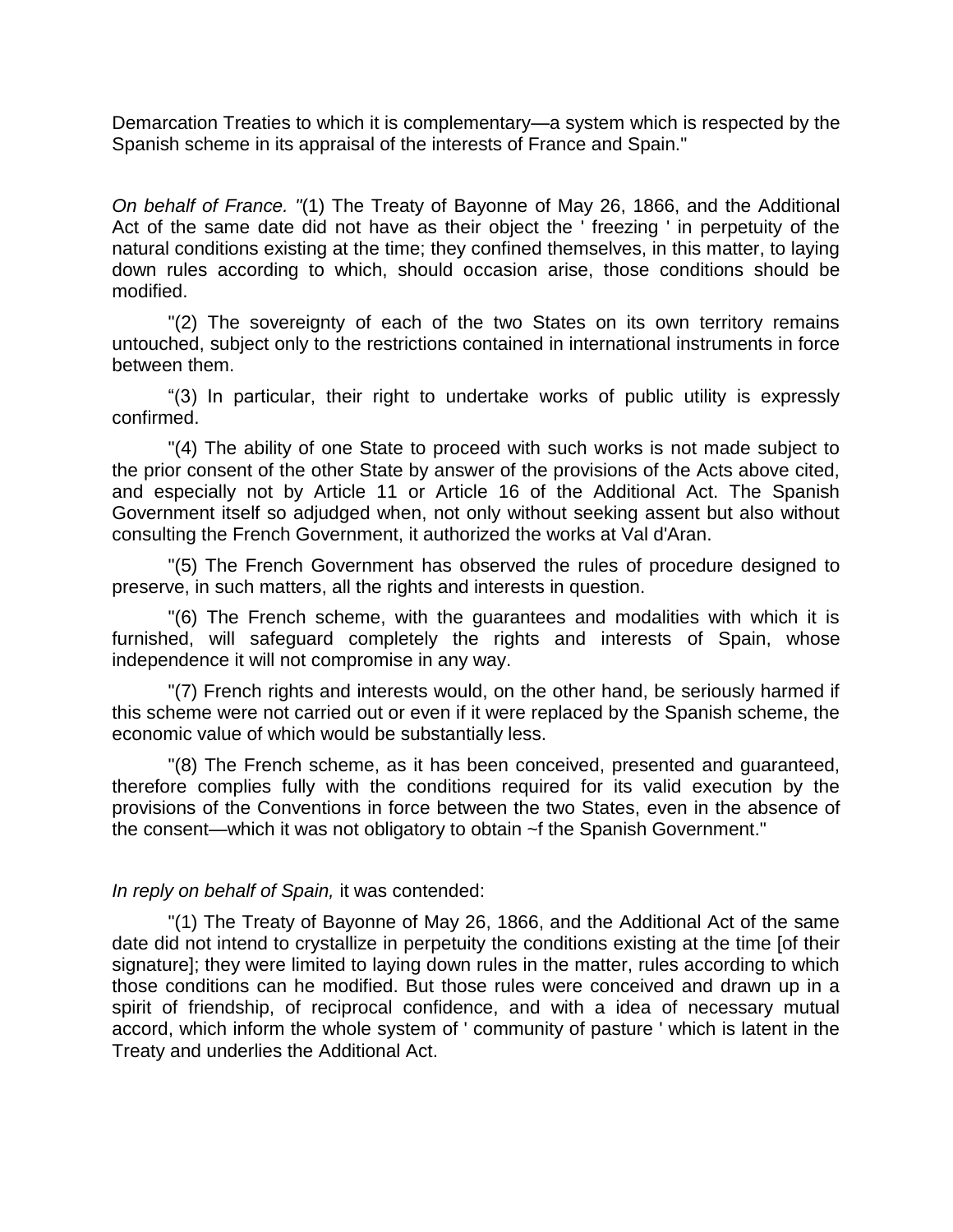Demarcation Treaties to which it is complementary—a system which is respected by the Spanish scheme in its appraisal of the interests of France and Spain."

*On behalf of France. "*(1) The Treaty of Bayonne of May 26, 1866, and the Additional Act of the same date did not have as their object the ' freezing ' in perpetuity of the natural conditions existing at the time; they confined themselves, in this matter, to laying down rules according to which, should occasion arise, those conditions should be modified.

"(2) The sovereignty of each of the two States on its own territory remains untouched, subject only to the restrictions contained in international instruments in force between them.

"(3) In particular, their right to undertake works of public utility is expressly confirmed.

"(4) The ability of one State to proceed with such works is not made subject to the prior consent of the other State by answer of the provisions of the Acts above cited, and especially not by Article 11 or Article 16 of the Additional Act. The Spanish Government itself so adjudged when, not only without seeking assent but also without consulting the French Government, it authorized the works at Val d'Aran.

"(5) The French Government has observed the rules of procedure designed to preserve, in such matters, all the rights and interests in question.

"(6) The French scheme, with the guarantees and modalities with which it is furnished, will safeguard completely the rights and interests of Spain, whose independence it will not compromise in any way.

"(7) French rights and interests would, on the other hand, be seriously harmed if this scheme were not carried out or even if it were replaced by the Spanish scheme, the economic value of which would be substantially less.

"(8) The French scheme, as it has been conceived, presented and guaranteed, therefore complies fully with the conditions required for its valid execution by the provisions of the Conventions in force between the two States, even in the absence of the consent—which it was not obligatory to obtain ~f the Spanish Government."

## *In reply on behalf of Spain,* it was contended:

"(1) The Treaty of Bayonne of May 26, 1866, and the Additional Act of the same date did not intend to crystallize in perpetuity the conditions existing at the time [of their signature]; they were limited to laying down rules in the matter, rules according to which those conditions can he modified. But those rules were conceived and drawn up in a spirit of friendship, of reciprocal confidence, and with a idea of necessary mutual accord, which inform the whole system of ' community of pasture ' which is latent in the Treaty and underlies the Additional Act.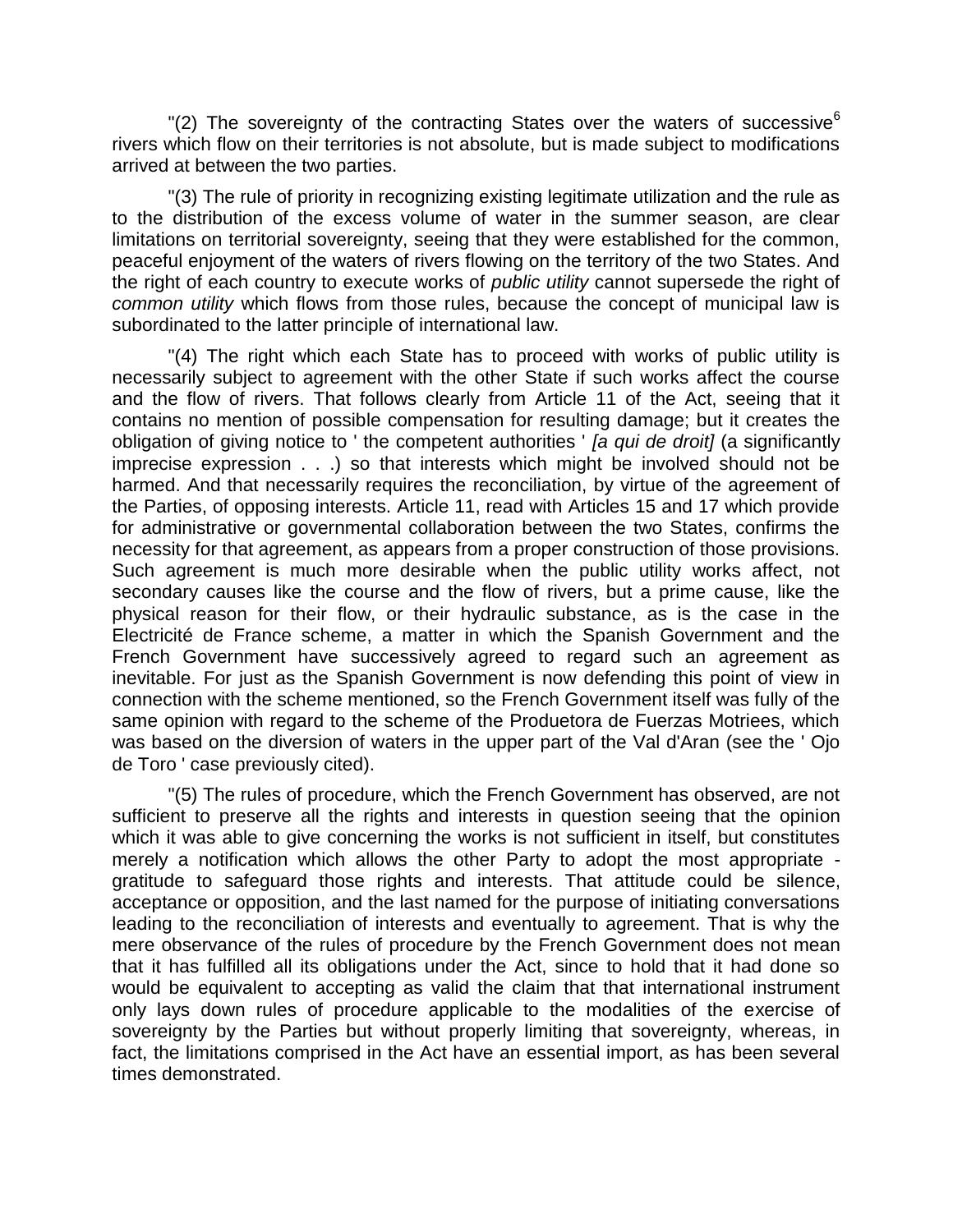"(2) The sovereignty of the contracting States over the waters of successive $6$ rivers which flow on their territories is not absolute, but is made subject to modifications arrived at between the two parties.

"(3) The rule of priority in recognizing existing legitimate utilization and the rule as to the distribution of the excess volume of water in the summer season, are clear limitations on territorial sovereignty, seeing that they were established for the common, peaceful enjoyment of the waters of rivers flowing on the territory of the two States. And the right of each country to execute works of *public utility* cannot supersede the right of *common utility* which flows from those rules, because the concept of municipal law is subordinated to the latter principle of international law.

"(4) The right which each State has to proceed with works of public utility is necessarily subject to agreement with the other State if such works affect the course and the flow of rivers. That follows clearly from Article 11 of the Act, seeing that it contains no mention of possible compensation for resulting damage; but it creates the obligation of giving notice to ' the competent authorities ' *[a qui de droit]* (a significantly imprecise expression . . .) so that interests which might be involved should not be harmed. And that necessarily requires the reconciliation, by virtue of the agreement of the Parties, of opposing interests. Article 11, read with Articles 15 and 17 which provide for administrative or governmental collaboration between the two States, confirms the necessity for that agreement, as appears from a proper construction of those provisions. Such agreement is much more desirable when the public utility works affect, not secondary causes like the course and the flow of rivers, but a prime cause, like the physical reason for their flow, or their hydraulic substance, as is the case in the Electricité de France scheme, a matter in which the Spanish Government and the French Government have successively agreed to regard such an agreement as inevitable. For just as the Spanish Government is now defending this point of view in connection with the scheme mentioned, so the French Government itself was fully of the same opinion with regard to the scheme of the Produetora de Fuerzas Motriees, which was based on the diversion of waters in the upper part of the Val d'Aran (see the ' Ojo de Toro ' case previously cited).

"(5) The rules of procedure, which the French Government has observed, are not sufficient to preserve all the rights and interests in question seeing that the opinion which it was able to give concerning the works is not sufficient in itself, but constitutes merely a notification which allows the other Party to adopt the most appropriate gratitude to safeguard those rights and interests. That attitude could be silence, acceptance or opposition, and the last named for the purpose of initiating conversations leading to the reconciliation of interests and eventually to agreement. That is why the mere observance of the rules of procedure by the French Government does not mean that it has fulfilled all its obligations under the Act, since to hold that it had done so would be equivalent to accepting as valid the claim that that international instrument only lays down rules of procedure applicable to the modalities of the exercise of sovereignty by the Parties but without properly limiting that sovereignty, whereas, in fact, the limitations comprised in the Act have an essential import, as has been several times demonstrated.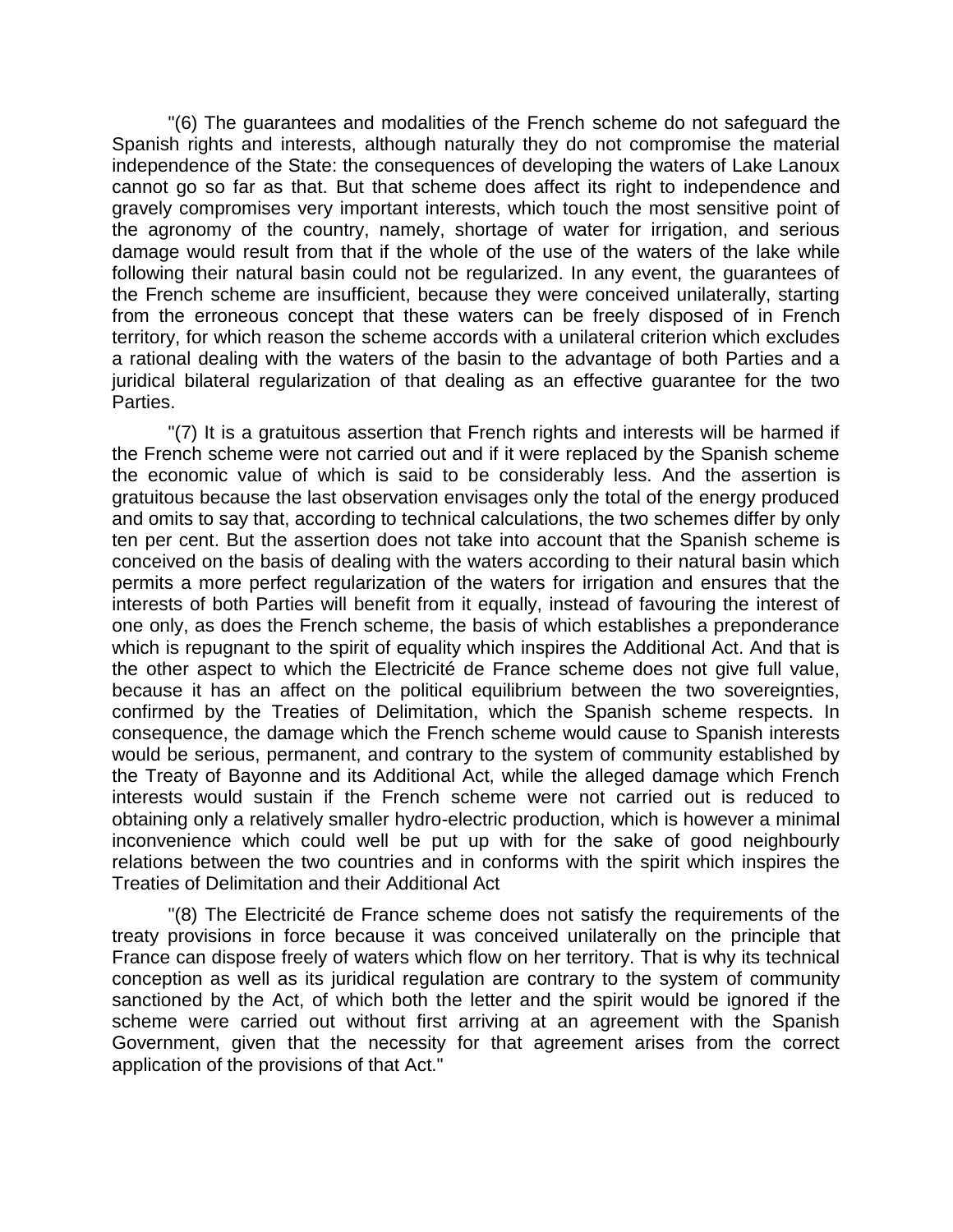"(6) The guarantees and modalities of the French scheme do not safeguard the Spanish rights and interests, although naturally they do not compromise the material independence of the State: the consequences of developing the waters of Lake Lanoux cannot go so far as that. But that scheme does affect its right to independence and gravely compromises very important interests, which touch the most sensitive point of the agronomy of the country, namely, shortage of water for irrigation, and serious damage would result from that if the whole of the use of the waters of the lake while following their natural basin could not be regularized. In any event, the guarantees of the French scheme are insufficient, because they were conceived unilaterally, starting from the erroneous concept that these waters can be freely disposed of in French territory, for which reason the scheme accords with a unilateral criterion which excludes a rational dealing with the waters of the basin to the advantage of both Parties and a juridical bilateral regularization of that dealing as an effective guarantee for the two Parties.

"(7) It is a gratuitous assertion that French rights and interests will be harmed if the French scheme were not carried out and if it were replaced by the Spanish scheme the economic value of which is said to be considerably less. And the assertion is gratuitous because the last observation envisages only the total of the energy produced and omits to say that, according to technical calculations, the two schemes differ by only ten per cent. But the assertion does not take into account that the Spanish scheme is conceived on the basis of dealing with the waters according to their natural basin which permits a more perfect regularization of the waters for irrigation and ensures that the interests of both Parties will benefit from it equally, instead of favouring the interest of one only, as does the French scheme, the basis of which establishes a preponderance which is repugnant to the spirit of equality which inspires the Additional Act. And that is the other aspect to which the Electricité de France scheme does not give full value, because it has an affect on the political equilibrium between the two sovereignties, confirmed by the Treaties of Delimitation, which the Spanish scheme respects. In consequence, the damage which the French scheme would cause to Spanish interests would be serious, permanent, and contrary to the system of community established by the Treaty of Bayonne and its Additional Act, while the alleged damage which French interests would sustain if the French scheme were not carried out is reduced to obtaining only a relatively smaller hydro-electric production, which is however a minimal inconvenience which could well be put up with for the sake of good neighbourly relations between the two countries and in conforms with the spirit which inspires the Treaties of Delimitation and their Additional Act

"(8) The Electricité de France scheme does not satisfy the requirements of the treaty provisions in force because it was conceived unilaterally on the principle that France can dispose freely of waters which flow on her territory. That is why its technical conception as well as its juridical regulation are contrary to the system of community sanctioned by the Act, of which both the letter and the spirit would be ignored if the scheme were carried out without first arriving at an agreement with the Spanish Government, given that the necessity for that agreement arises from the correct application of the provisions of that Act."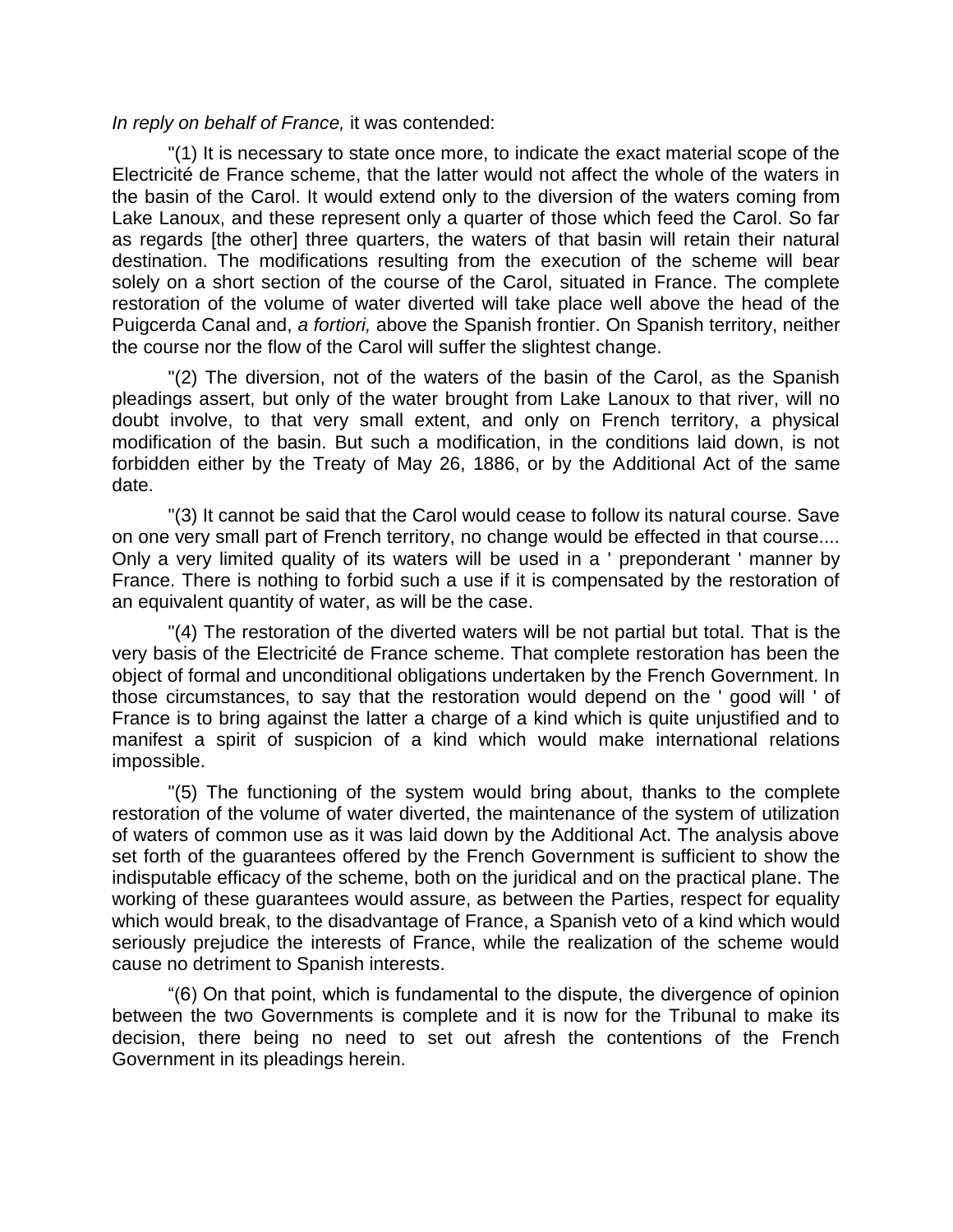*In reply on behalf of France,* it was contended:

"(1) It is necessary to state once more, to indicate the exact material scope of the Electricité de France scheme, that the latter would not affect the whole of the waters in the basin of the Carol. It would extend only to the diversion of the waters coming from Lake Lanoux, and these represent only a quarter of those which feed the Carol. So far as regards [the other] three quarters, the waters of that basin will retain their natural destination. The modifications resulting from the execution of the scheme will bear solely on a short section of the course of the Carol, situated in France. The complete restoration of the volume of water diverted will take place well above the head of the Puigcerda Canal and, *a fortiori,* above the Spanish frontier. On Spanish territory, neither the course nor the flow of the Carol will suffer the slightest change.

"(2) The diversion, not of the waters of the basin of the Carol, as the Spanish pleadings assert, but only of the water brought from Lake Lanoux to that river, will no doubt involve, to that very small extent, and only on French territory, a physical modification of the basin. But such a modification, in the conditions laid down, is not forbidden either by the Treaty of May 26, 1886, or by the Additional Act of the same date.

"(3) It cannot be said that the Carol would cease to follow its natural course. Save on one very small part of French territory, no change would be effected in that course.... Only a very limited quality of its waters will be used in a ' preponderant ' manner by France. There is nothing to forbid such a use if it is compensated by the restoration of an equivalent quantity of water, as will be the case.

"(4) The restoration of the diverted waters will be not partial but total. That is the very basis of the Electricité de France scheme. That complete restoration has been the object of formal and unconditional obligations undertaken by the French Government. In those circumstances, to say that the restoration would depend on the ' good will ' of France is to bring against the latter a charge of a kind which is quite unjustified and to manifest a spirit of suspicion of a kind which would make international relations impossible.

"(5) The functioning of the system would bring about, thanks to the complete restoration of the volume of water diverted, the maintenance of the system of utilization of waters of common use as it was laid down by the Additional Act. The analysis above set forth of the guarantees offered by the French Government is sufficient to show the indisputable efficacy of the scheme, both on the juridical and on the practical plane. The working of these guarantees would assure, as between the Parties, respect for equality which would break, to the disadvantage of France, a Spanish veto of a kind which would seriously prejudice the interests of France, while the realization of the scheme would cause no detriment to Spanish interests.

"(6) On that point, which is fundamental to the dispute, the divergence of opinion between the two Governments is complete and it is now for the Tribunal to make its decision, there being no need to set out afresh the contentions of the French Government in its pleadings herein.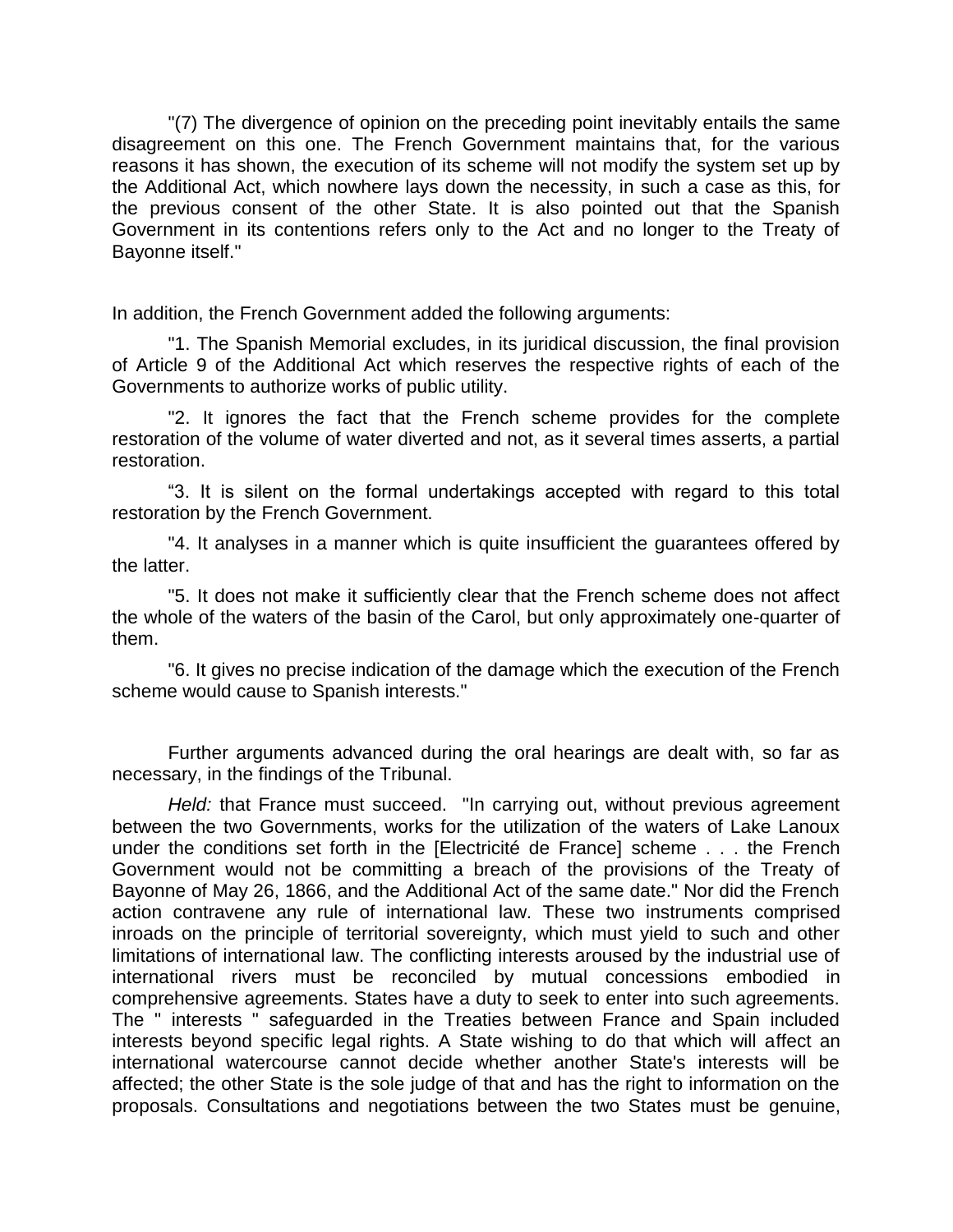"(7) The divergence of opinion on the preceding point inevitably entails the same disagreement on this one. The French Government maintains that, for the various reasons it has shown, the execution of its scheme will not modify the system set up by the Additional Act, which nowhere lays down the necessity, in such a case as this, for the previous consent of the other State. It is also pointed out that the Spanish Government in its contentions refers only to the Act and no longer to the Treaty of Bayonne itself."

In addition, the French Government added the following arguments:

"1. The Spanish Memorial excludes, in its juridical discussion, the final provision of Article 9 of the Additional Act which reserves the respective rights of each of the Governments to authorize works of public utility.

"2. It ignores the fact that the French scheme provides for the complete restoration of the volume of water diverted and not, as it several times asserts, a partial restoration.

"3. It is silent on the formal undertakings accepted with regard to this total restoration by the French Government.

"4. It analyses in a manner which is quite insufficient the guarantees offered by the latter.

"5. It does not make it sufficiently clear that the French scheme does not affect the whole of the waters of the basin of the Carol, but only approximately one-quarter of them.

"6. It gives no precise indication of the damage which the execution of the French scheme would cause to Spanish interests."

Further arguments advanced during the oral hearings are dealt with, so far as necessary, in the findings of the Tribunal.

*Held:* that France must succeed. "In carrying out, without previous agreement between the two Governments, works for the utilization of the waters of Lake Lanoux under the conditions set forth in the [Electricité de France] scheme . . . the French Government would not be committing a breach of the provisions of the Treaty of Bayonne of May 26, 1866, and the Additional Act of the same date." Nor did the French action contravene any rule of international law. These two instruments comprised inroads on the principle of territorial sovereignty, which must yield to such and other limitations of international law. The conflicting interests aroused by the industrial use of international rivers must be reconciled by mutual concessions embodied in comprehensive agreements. States have a duty to seek to enter into such agreements. The " interests " safeguarded in the Treaties between France and Spain included interests beyond specific legal rights. A State wishing to do that which will affect an international watercourse cannot decide whether another State's interests will be affected; the other State is the sole judge of that and has the right to information on the proposals. Consultations and negotiations between the two States must be genuine,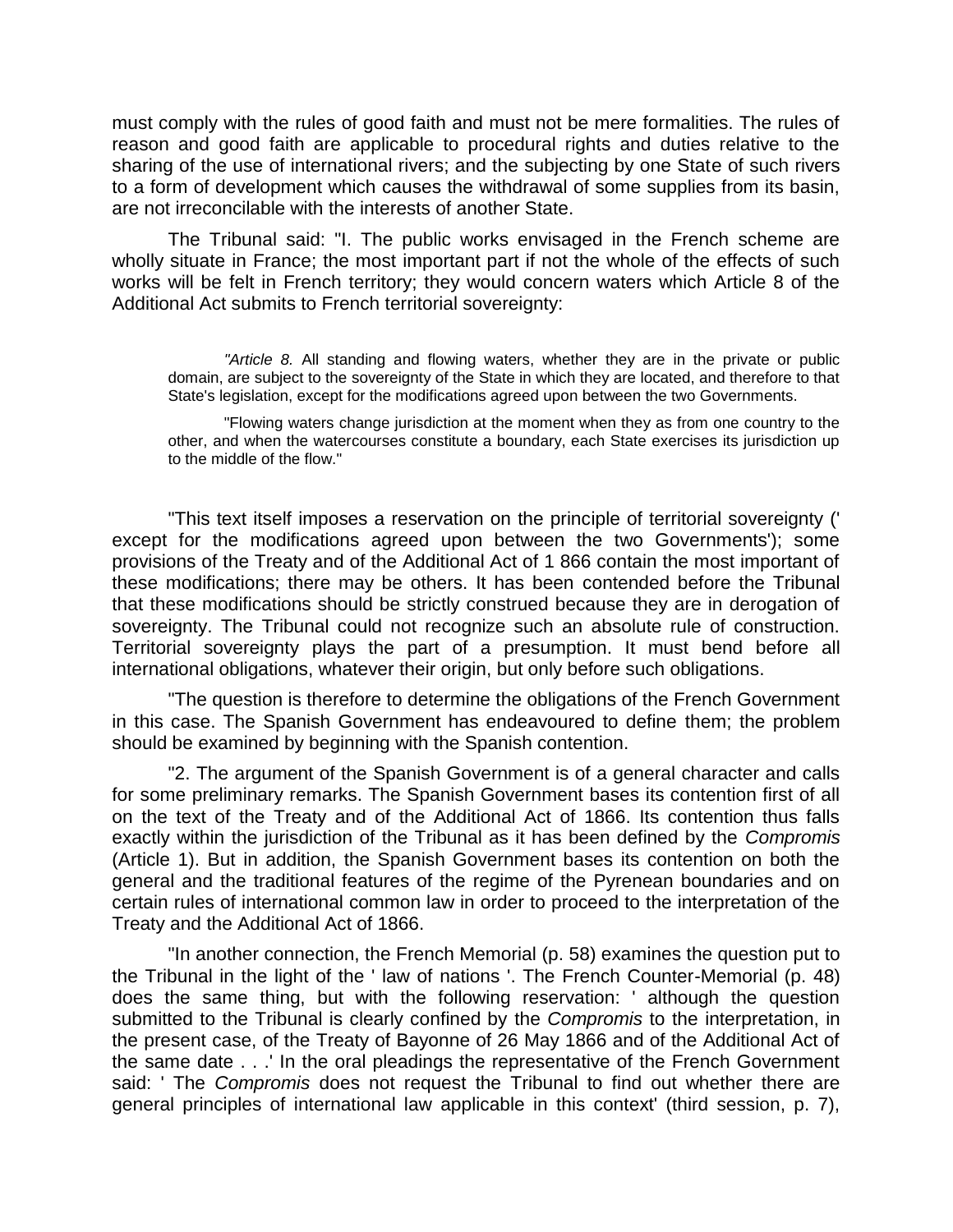must comply with the rules of good faith and must not be mere formalities. The rules of reason and good faith are applicable to procedural rights and duties relative to the sharing of the use of international rivers; and the subjecting by one State of such rivers to a form of development which causes the withdrawal of some supplies from its basin, are not irreconcilable with the interests of another State.

The Tribunal said: "I. The public works envisaged in the French scheme are wholly situate in France; the most important part if not the whole of the effects of such works will be felt in French territory; they would concern waters which Article 8 of the Additional Act submits to French territorial sovereignty:

*"Article 8.* All standing and flowing waters, whether they are in the private or public domain, are subject to the sovereignty of the State in which they are located, and therefore to that State's legislation, except for the modifications agreed upon between the two Governments.

"Flowing waters change jurisdiction at the moment when they as from one country to the other, and when the watercourses constitute a boundary, each State exercises its jurisdiction up to the middle of the flow."

"This text itself imposes a reservation on the principle of territorial sovereignty (' except for the modifications agreed upon between the two Governments'); some provisions of the Treaty and of the Additional Act of 1 866 contain the most important of these modifications; there may be others. It has been contended before the Tribunal that these modifications should be strictly construed because they are in derogation of sovereignty. The Tribunal could not recognize such an absolute rule of construction. Territorial sovereignty plays the part of a presumption. It must bend before all international obligations, whatever their origin, but only before such obligations.

"The question is therefore to determine the obligations of the French Government in this case. The Spanish Government has endeavoured to define them; the problem should be examined by beginning with the Spanish contention.

"2. The argument of the Spanish Government is of a general character and calls for some preliminary remarks. The Spanish Government bases its contention first of all on the text of the Treaty and of the Additional Act of 1866. Its contention thus falls exactly within the jurisdiction of the Tribunal as it has been defined by the *Compromis*  (Article 1). But in addition, the Spanish Government bases its contention on both the general and the traditional features of the regime of the Pyrenean boundaries and on certain rules of international common law in order to proceed to the interpretation of the Treaty and the Additional Act of 1866.

"In another connection, the French Memorial (p. 58) examines the question put to the Tribunal in the light of the ' law of nations '. The French Counter-Memorial (p. 48) does the same thing, but with the following reservation: ' although the question submitted to the Tribunal is clearly confined by the *Compromis* to the interpretation, in the present case, of the Treaty of Bayonne of 26 May 1866 and of the Additional Act of the same date . . .' In the oral pleadings the representative of the French Government said: ' The *Compromis* does not request the Tribunal to find out whether there are general principles of international law applicable in this context' (third session, p. 7),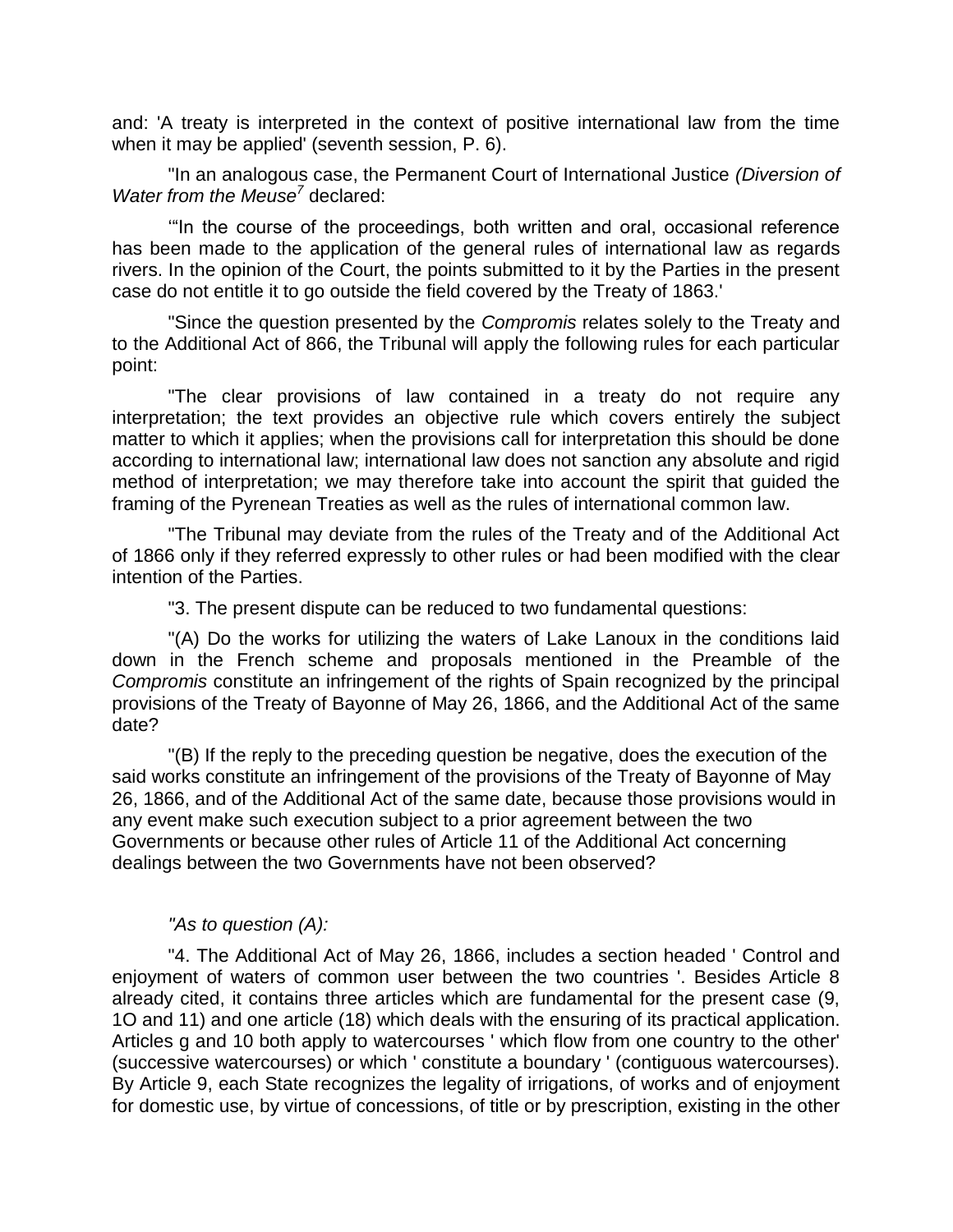and: 'A treaty is interpreted in the context of positive international law from the time when it may be applied' (seventh session, P. 6).

"In an analogous case, the Permanent Court of International Justice *(Diversion of Water from the Meuse<sup>7</sup>* declared:

'"In the course of the proceedings, both written and oral, occasional reference has been made to the application of the general rules of international law as regards rivers. In the opinion of the Court, the points submitted to it by the Parties in the present case do not entitle it to go outside the field covered by the Treaty of 1863.'

"Since the question presented by the *Compromis* relates solely to the Treaty and to the Additional Act of 866, the Tribunal will apply the following rules for each particular point:

"The clear provisions of law contained in a treaty do not require any interpretation; the text provides an objective rule which covers entirely the subject matter to which it applies; when the provisions call for interpretation this should be done according to international law; international law does not sanction any absolute and rigid method of interpretation; we may therefore take into account the spirit that guided the framing of the Pyrenean Treaties as well as the rules of international common law.

"The Tribunal may deviate from the rules of the Treaty and of the Additional Act of 1866 only if they referred expressly to other rules or had been modified with the clear intention of the Parties.

"3. The present dispute can be reduced to two fundamental questions:

"(A) Do the works for utilizing the waters of Lake Lanoux in the conditions laid down in the French scheme and proposals mentioned in the Preamble of the *Compromis* constitute an infringement of the rights of Spain recognized by the principal provisions of the Treaty of Bayonne of May 26, 1866, and the Additional Act of the same date?

"(B) If the reply to the preceding question be negative, does the execution of the said works constitute an infringement of the provisions of the Treaty of Bayonne of May 26, 1866, and of the Additional Act of the same date, because those provisions would in any event make such execution subject to a prior agreement between the two Governments or because other rules of Article 11 of the Additional Act concerning dealings between the two Governments have not been observed?

# *"As to question (A):*

"4. The Additional Act of May 26, 1866, includes a section headed ' Control and enjoyment of waters of common user between the two countries '. Besides Article 8 already cited, it contains three articles which are fundamental for the present case (9, 1O and 11) and one article (18) which deals with the ensuring of its practical application. Articles g and 10 both apply to watercourses ' which flow from one country to the other' (successive watercourses) or which ' constitute a boundary ' (contiguous watercourses). By Article 9, each State recognizes the legality of irrigations, of works and of enjoyment for domestic use, by virtue of concessions, of title or by prescription, existing in the other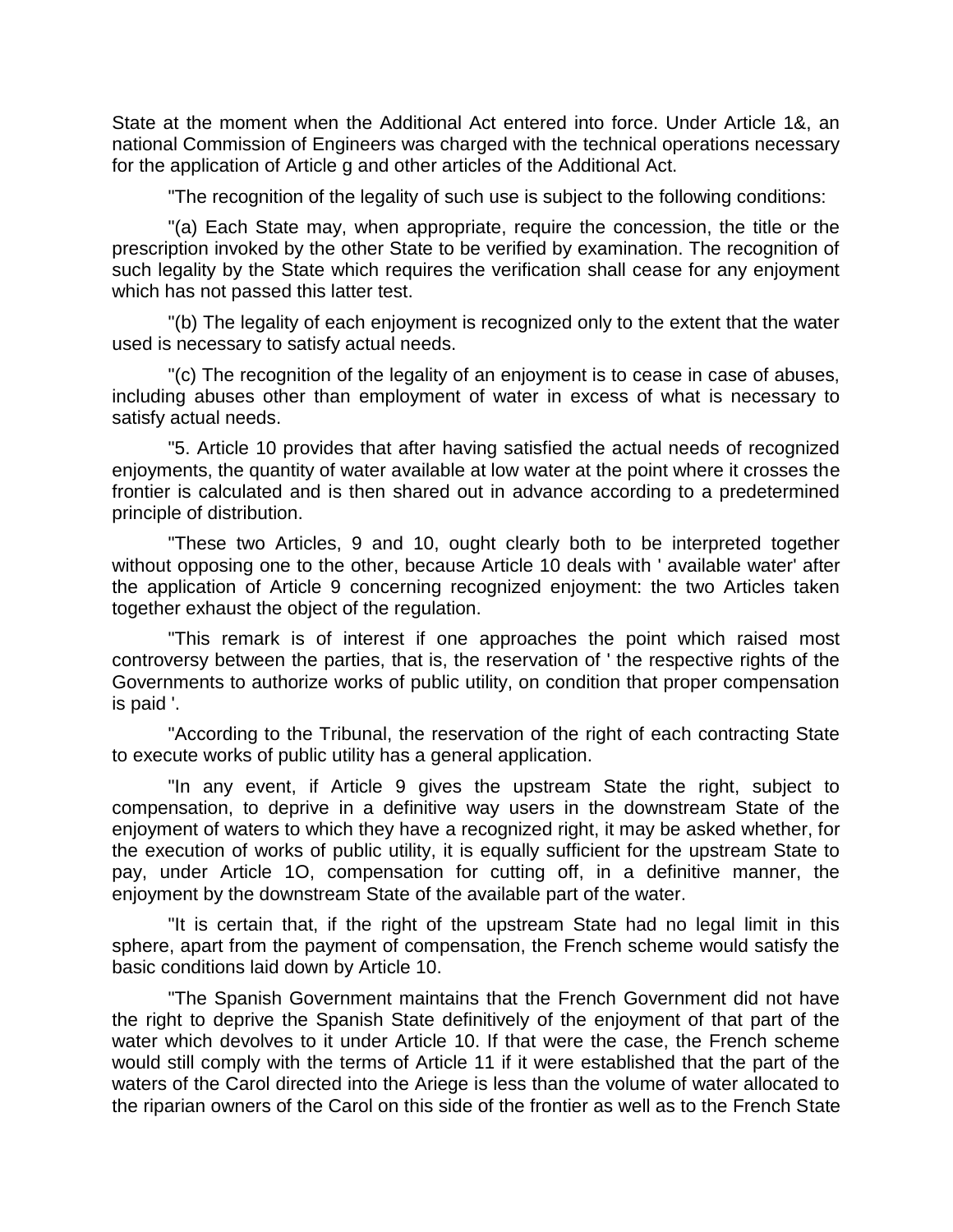State at the moment when the Additional Act entered into force. Under Article 1&, an national Commission of Engineers was charged with the technical operations necessary for the application of Article g and other articles of the Additional Act.

"The recognition of the legality of such use is subject to the following conditions:

"(a) Each State may, when appropriate, require the concession, the title or the prescription invoked by the other State to be verified by examination. The recognition of such legality by the State which requires the verification shall cease for any enjoyment which has not passed this latter test.

"(b) The legality of each enjoyment is recognized only to the extent that the water used is necessary to satisfy actual needs.

"(c) The recognition of the legality of an enjoyment is to cease in case of abuses, including abuses other than employment of water in excess of what is necessary to satisfy actual needs.

"5. Article 10 provides that after having satisfied the actual needs of recognized enjoyments, the quantity of water available at low water at the point where it crosses the frontier is calculated and is then shared out in advance according to a predetermined principle of distribution.

"These two Articles, 9 and 10, ought clearly both to be interpreted together without opposing one to the other, because Article 10 deals with ' available water' after the application of Article 9 concerning recognized enjoyment: the two Articles taken together exhaust the object of the regulation.

"This remark is of interest if one approaches the point which raised most controversy between the parties, that is, the reservation of ' the respective rights of the Governments to authorize works of public utility, on condition that proper compensation is paid '.

"According to the Tribunal, the reservation of the right of each contracting State to execute works of public utility has a general application.

"In any event, if Article 9 gives the upstream State the right, subject to compensation, to deprive in a definitive way users in the downstream State of the enjoyment of waters to which they have a recognized right, it may be asked whether, for the execution of works of public utility, it is equally sufficient for the upstream State to pay, under Article 1O, compensation for cutting off, in a definitive manner, the enjoyment by the downstream State of the available part of the water.

"It is certain that, if the right of the upstream State had no legal limit in this sphere, apart from the payment of compensation, the French scheme would satisfy the basic conditions laid down by Article 10.

"The Spanish Government maintains that the French Government did not have the right to deprive the Spanish State definitively of the enjoyment of that part of the water which devolves to it under Article 10. If that were the case, the French scheme would still comply with the terms of Article 11 if it were established that the part of the waters of the Carol directed into the Ariege is less than the volume of water allocated to the riparian owners of the Carol on this side of the frontier as well as to the French State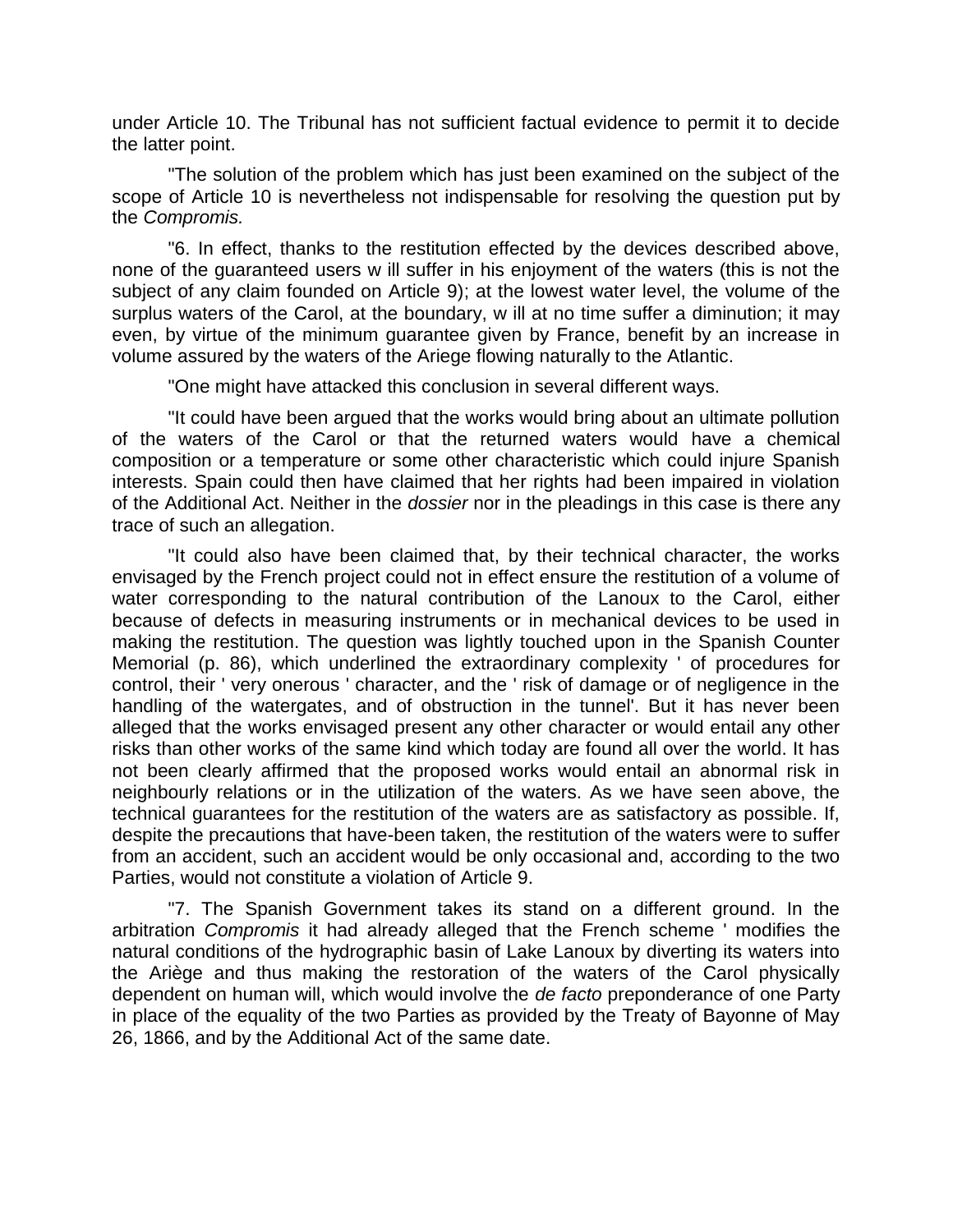under Article 10. The Tribunal has not sufficient factual evidence to permit it to decide the latter point.

"The solution of the problem which has just been examined on the subject of the scope of Article 10 is nevertheless not indispensable for resolving the question put by the *Compromis.*

"6. In effect, thanks to the restitution effected by the devices described above, none of the guaranteed users w ill suffer in his enjoyment of the waters (this is not the subject of any claim founded on Article 9); at the lowest water level, the volume of the surplus waters of the Carol, at the boundary, w ill at no time suffer a diminution; it may even, by virtue of the minimum guarantee given by France, benefit by an increase in volume assured by the waters of the Ariege flowing naturally to the Atlantic.

"One might have attacked this conclusion in several different ways.

"It could have been argued that the works would bring about an ultimate pollution of the waters of the Carol or that the returned waters would have a chemical composition or a temperature or some other characteristic which could injure Spanish interests. Spain could then have claimed that her rights had been impaired in violation of the Additional Act. Neither in the *dossier* nor in the pleadings in this case is there any trace of such an allegation.

"It could also have been claimed that, by their technical character, the works envisaged by the French project could not in effect ensure the restitution of a volume of water corresponding to the natural contribution of the Lanoux to the Carol, either because of defects in measuring instruments or in mechanical devices to be used in making the restitution. The question was lightly touched upon in the Spanish Counter Memorial (p. 86), which underlined the extraordinary complexity ' of procedures for control, their ' very onerous ' character, and the ' risk of damage or of negligence in the handling of the watergates, and of obstruction in the tunnel'. But it has never been alleged that the works envisaged present any other character or would entail any other risks than other works of the same kind which today are found all over the world. It has not been clearly affirmed that the proposed works would entail an abnormal risk in neighbourly relations or in the utilization of the waters. As we have seen above, the technical guarantees for the restitution of the waters are as satisfactory as possible. If, despite the precautions that have-been taken, the restitution of the waters were to suffer from an accident, such an accident would be only occasional and, according to the two Parties, would not constitute a violation of Article 9.

"7. The Spanish Government takes its stand on a different ground. In the arbitration *Compromis* it had already alleged that the French scheme ' modifies the natural conditions of the hydrographic basin of Lake Lanoux by diverting its waters into the Ariège and thus making the restoration of the waters of the Carol physically dependent on human will, which would involve the *de facto* preponderance of one Party in place of the equality of the two Parties as provided by the Treaty of Bayonne of May 26, 1866, and by the Additional Act of the same date.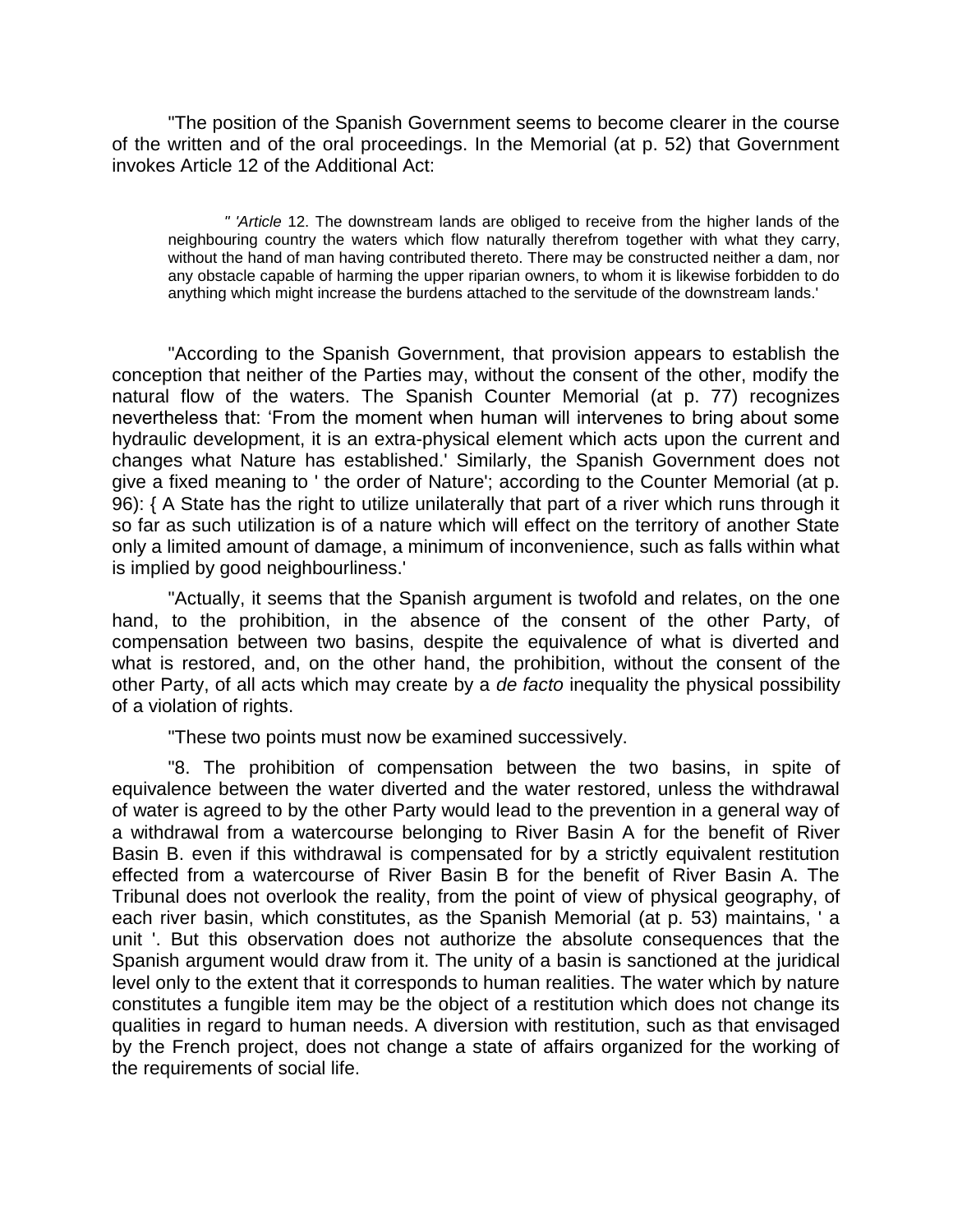"The position of the Spanish Government seems to become clearer in the course of the written and of the oral proceedings. In the Memorial (at p. 52) that Government invokes Article 12 of the Additional Act:

*" 'Article* 12. The downstream lands are obliged to receive from the higher lands of the neighbouring country the waters which flow naturally therefrom together with what they carry, without the hand of man having contributed thereto. There may be constructed neither a dam, nor any obstacle capable of harming the upper riparian owners, to whom it is likewise forbidden to do anything which might increase the burdens attached to the servitude of the downstream lands.'

"According to the Spanish Government, that provision appears to establish the conception that neither of the Parties may, without the consent of the other, modify the natural flow of the waters. The Spanish Counter Memorial (at p. 77) recognizes nevertheless that: 'From the moment when human will intervenes to bring about some hydraulic development, it is an extra-physical element which acts upon the current and changes what Nature has established.' Similarly, the Spanish Government does not give a fixed meaning to ' the order of Nature'; according to the Counter Memorial (at p. 96): { A State has the right to utilize unilaterally that part of a river which runs through it so far as such utilization is of a nature which will effect on the territory of another State only a limited amount of damage, a minimum of inconvenience, such as falls within what is implied by good neighbourliness.'

"Actually, it seems that the Spanish argument is twofold and relates, on the one hand, to the prohibition, in the absence of the consent of the other Party, of compensation between two basins, despite the equivalence of what is diverted and what is restored, and, on the other hand, the prohibition, without the consent of the other Party, of all acts which may create by a *de facto* inequality the physical possibility of a violation of rights.

"These two points must now be examined successively.

"8. The prohibition of compensation between the two basins, in spite of equivalence between the water diverted and the water restored, unless the withdrawal of water is agreed to by the other Party would lead to the prevention in a general way of a withdrawal from a watercourse belonging to River Basin A for the benefit of River Basin B. even if this withdrawal is compensated for by a strictly equivalent restitution effected from a watercourse of River Basin B for the benefit of River Basin A. The Tribunal does not overlook the reality, from the point of view of physical geography, of each river basin, which constitutes, as the Spanish Memorial (at p. 53) maintains, ' a unit '. But this observation does not authorize the absolute consequences that the Spanish argument would draw from it. The unity of a basin is sanctioned at the juridical level only to the extent that it corresponds to human realities. The water which by nature constitutes a fungible item may be the object of a restitution which does not change its qualities in regard to human needs. A diversion with restitution, such as that envisaged by the French project, does not change a state of affairs organized for the working of the requirements of social life.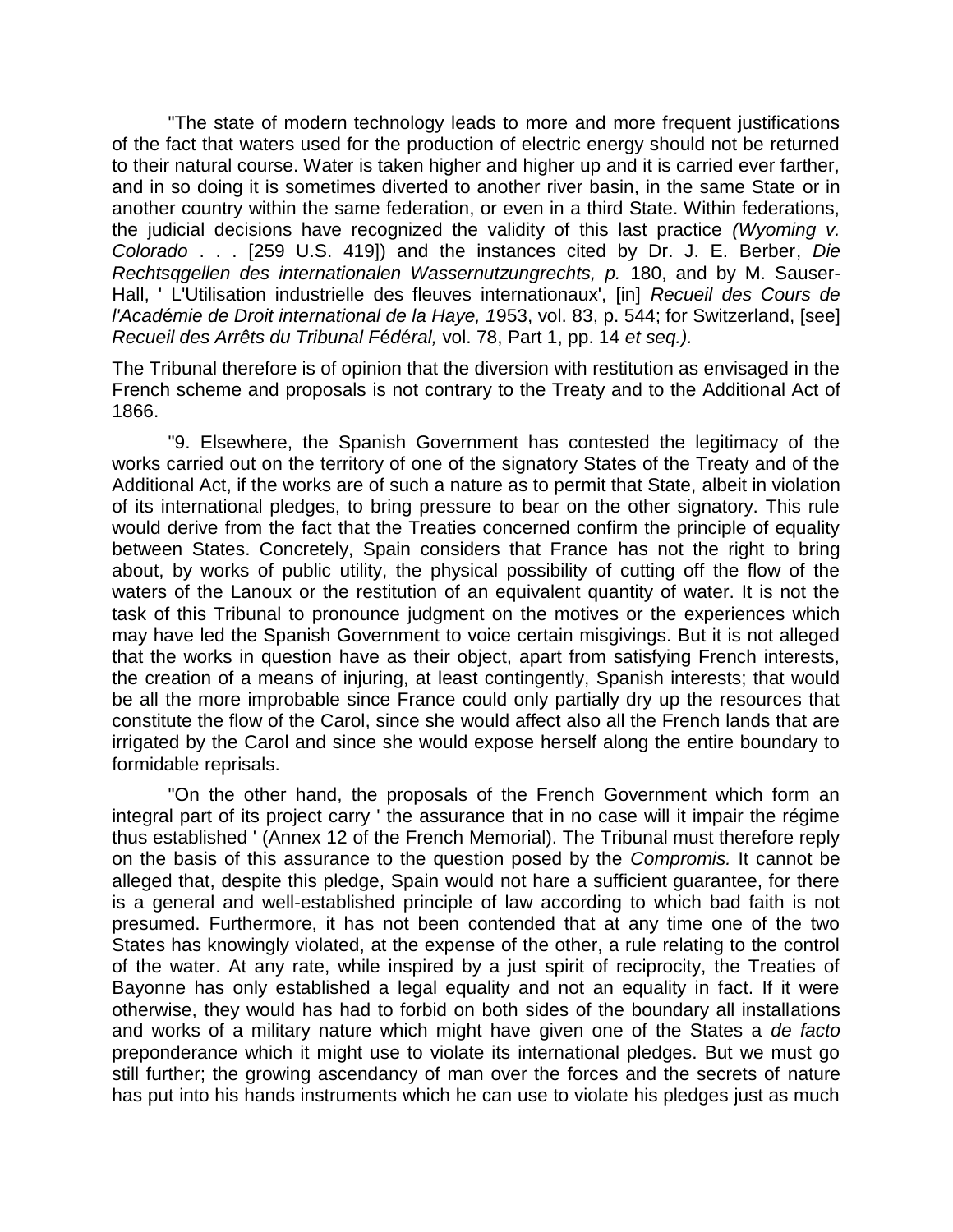"The state of modern technology leads to more and more frequent justifications of the fact that waters used for the production of electric energy should not be returned to their natural course. Water is taken higher and higher up and it is carried ever farther, and in so doing it is sometimes diverted to another river basin, in the same State or in another country within the same federation, or even in a third State. Within federations, the judicial decisions have recognized the validity of this last practice *(Wyoming v. Colorado* . . . [259 U.S. 419]) and the instances cited by Dr. J. E. Berber, *Die Rechtsqgellen des internationalen Wassernutzungrechts, p. 180, and by M. Sauser-*Hall, ' L'Utilisation industrielle des fleuves internationaux', [in] *Recueil des Cours de l'Acad*é*mie de Droit international de la Haye, 1*953, vol. 83, p. 544; for Switzerland, [see] *Recueil des Arrêts du Tribunal F*é*d*é*ral,* vol. 78, Part 1, pp. 14 *et seq.).*

The Tribunal therefore is of opinion that the diversion with restitution as envisaged in the French scheme and proposals is not contrary to the Treaty and to the Additional Act of 1866.

"9. Elsewhere, the Spanish Government has contested the legitimacy of the works carried out on the territory of one of the signatory States of the Treaty and of the Additional Act, if the works are of such a nature as to permit that State, albeit in violation of its international pledges, to bring pressure to bear on the other signatory. This rule would derive from the fact that the Treaties concerned confirm the principle of equality between States. Concretely, Spain considers that France has not the right to bring about, by works of public utility, the physical possibility of cutting off the flow of the waters of the Lanoux or the restitution of an equivalent quantity of water. It is not the task of this Tribunal to pronounce judgment on the motives or the experiences which may have led the Spanish Government to voice certain misgivings. But it is not alleged that the works in question have as their object, apart from satisfying French interests, the creation of a means of injuring, at least contingently, Spanish interests; that would be all the more improbable since France could only partially dry up the resources that constitute the flow of the Carol, since she would affect also all the French lands that are irrigated by the Carol and since she would expose herself along the entire boundary to formidable reprisals.

"On the other hand, the proposals of the French Government which form an integral part of its project carry ' the assurance that in no case will it impair the régime thus established ' (Annex 12 of the French Memorial). The Tribunal must therefore reply on the basis of this assurance to the question posed by the *Compromis.* It cannot be alleged that, despite this pledge, Spain would not hare a sufficient guarantee, for there is a general and well-established principle of law according to which bad faith is not presumed. Furthermore, it has not been contended that at any time one of the two States has knowingly violated, at the expense of the other, a rule relating to the control of the water. At any rate, while inspired by a just spirit of reciprocity, the Treaties of Bayonne has only established a legal equality and not an equality in fact. If it were otherwise, they would has had to forbid on both sides of the boundary all installations and works of a military nature which might have given one of the States a *de facto*  preponderance which it might use to violate its international pledges. But we must go still further; the growing ascendancy of man over the forces and the secrets of nature has put into his hands instruments which he can use to violate his pledges just as much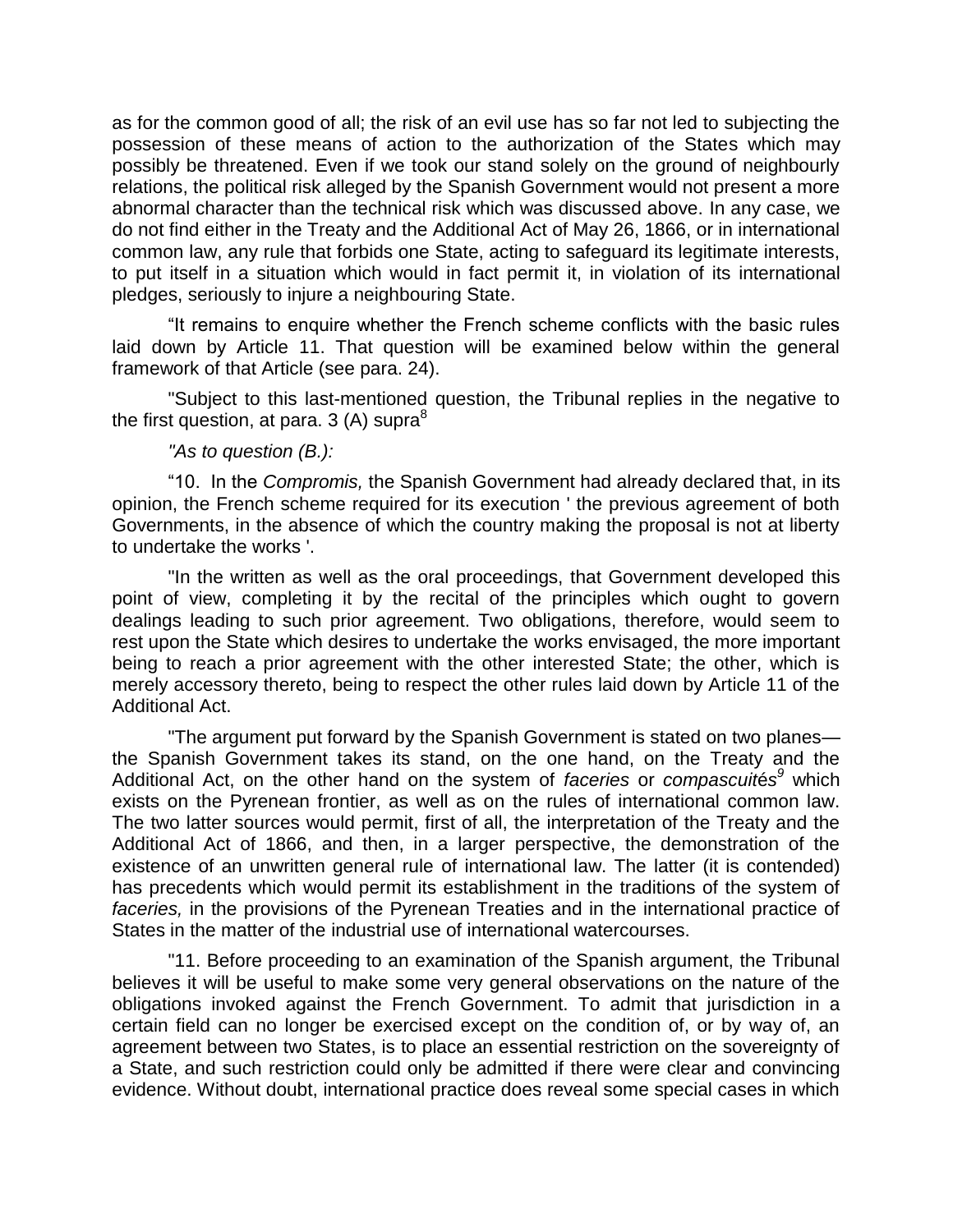as for the common good of all; the risk of an evil use has so far not led to subjecting the possession of these means of action to the authorization of the States which may possibly be threatened. Even if we took our stand solely on the ground of neighbourly relations, the political risk alleged by the Spanish Government would not present a more abnormal character than the technical risk which was discussed above. In any case, we do not find either in the Treaty and the Additional Act of May 26, 1866, or in international common law, any rule that forbids one State, acting to safeguard its legitimate interests, to put itself in a situation which would in fact permit it, in violation of its international pledges, seriously to injure a neighbouring State.

"It remains to enquire whether the French scheme conflicts with the basic rules laid down by Article 11. That question will be examined below within the general framework of that Article (see para. 24).

"Subject to this last-mentioned question, the Tribunal replies in the negative to the first question, at para. 3  $(A)$  supra<sup>8</sup>

## *"As to question (B.):*

"10. In the *Compromis,* the Spanish Government had already declared that, in its opinion, the French scheme required for its execution ' the previous agreement of both Governments, in the absence of which the country making the proposal is not at liberty to undertake the works '.

"In the written as well as the oral proceedings, that Government developed this point of view, completing it by the recital of the principles which ought to govern dealings leading to such prior agreement. Two obligations, therefore, would seem to rest upon the State which desires to undertake the works envisaged, the more important being to reach a prior agreement with the other interested State; the other, which is merely accessory thereto, being to respect the other rules laid down by Article 11 of the Additional Act.

"The argument put forward by the Spanish Government is stated on two planes the Spanish Government takes its stand, on the one hand, on the Treaty and the Additional Act, on the other hand on the system of *faceries* or *compascuit*é*s <sup>9</sup>* which exists on the Pyrenean frontier, as well as on the rules of international common law. The two latter sources would permit, first of all, the interpretation of the Treaty and the Additional Act of 1866, and then, in a larger perspective, the demonstration of the existence of an unwritten general rule of international law. The latter (it is contended) has precedents which would permit its establishment in the traditions of the system of *faceries,* in the provisions of the Pyrenean Treaties and in the international practice of States in the matter of the industrial use of international watercourses.

"11. Before proceeding to an examination of the Spanish argument, the Tribunal believes it will be useful to make some very general observations on the nature of the obligations invoked against the French Government. To admit that jurisdiction in a certain field can no longer be exercised except on the condition of, or by way of, an agreement between two States, is to place an essential restriction on the sovereignty of a State, and such restriction could only be admitted if there were clear and convincing evidence. Without doubt, international practice does reveal some special cases in which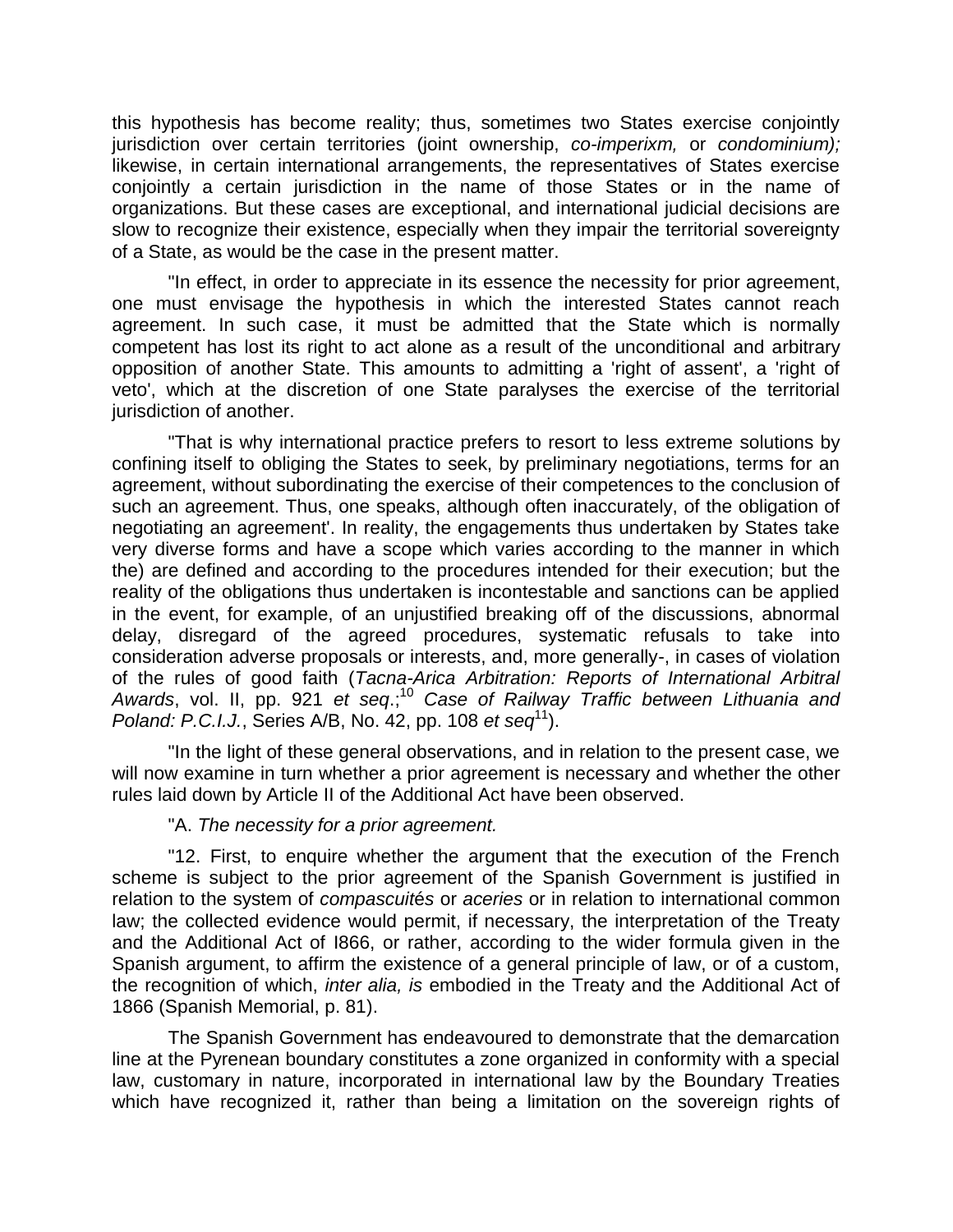this hypothesis has become reality; thus, sometimes two States exercise conjointly jurisdiction over certain territories (joint ownership, *co-imperixm,* or *condominium);*  likewise, in certain international arrangements, the representatives of States exercise conjointly a certain jurisdiction in the name of those States or in the name of organizations. But these cases are exceptional, and international judicial decisions are slow to recognize their existence, especially when they impair the territorial sovereignty of a State, as would be the case in the present matter.

"In effect, in order to appreciate in its essence the necessity for prior agreement, one must envisage the hypothesis in which the interested States cannot reach agreement. In such case, it must be admitted that the State which is normally competent has lost its right to act alone as a result of the unconditional and arbitrary opposition of another State. This amounts to admitting a 'right of assent', a 'right of veto', which at the discretion of one State paralyses the exercise of the territorial jurisdiction of another.

"That is why international practice prefers to resort to less extreme solutions by confining itself to obliging the States to seek, by preliminary negotiations, terms for an agreement, without subordinating the exercise of their competences to the conclusion of such an agreement. Thus, one speaks, although often inaccurately, of the obligation of negotiating an agreement'. In reality, the engagements thus undertaken by States take very diverse forms and have a scope which varies according to the manner in which the) are defined and according to the procedures intended for their execution; but the reality of the obligations thus undertaken is incontestable and sanctions can be applied in the event, for example, of an unjustified breaking off of the discussions, abnormal delay, disregard of the agreed procedures, systematic refusals to take into consideration adverse proposals or interests, and, more generally-, in cases of violation of the rules of good faith (*Tacna-Arica Arbitration: Reports of International Arbitral Awards*, vol. II, pp. 921 *et seq*.;<sup>10</sup> *Case of Railway Traffic between Lithuania and Poland: P.C.I.J.*, Series A/B, No. 42, pp. 108 *et seq*<sup>11</sup>).

"In the light of these general observations, and in relation to the present case, we will now examine in turn whether a prior agreement is necessary and whether the other rules laid down by Article II of the Additional Act have been observed.

## "A. *The necessity for a prior agreement.*

"12. First, to enquire whether the argument that the execution of the French scheme is subject to the prior agreement of the Spanish Government is justified in relation to the system of *compascuit*é*s* or *aceries* or in relation to international common law; the collected evidence would permit, if necessary, the interpretation of the Treaty and the Additional Act of I866, or rather, according to the wider formula given in the Spanish argument, to affirm the existence of a general principle of law, or of a custom, the recognition of which, *inter alia, is* embodied in the Treaty and the Additional Act of 1866 (Spanish Memorial, p. 81).

The Spanish Government has endeavoured to demonstrate that the demarcation line at the Pyrenean boundary constitutes a zone organized in conformity with a special law, customary in nature, incorporated in international law by the Boundary Treaties which have recognized it, rather than being a limitation on the sovereign rights of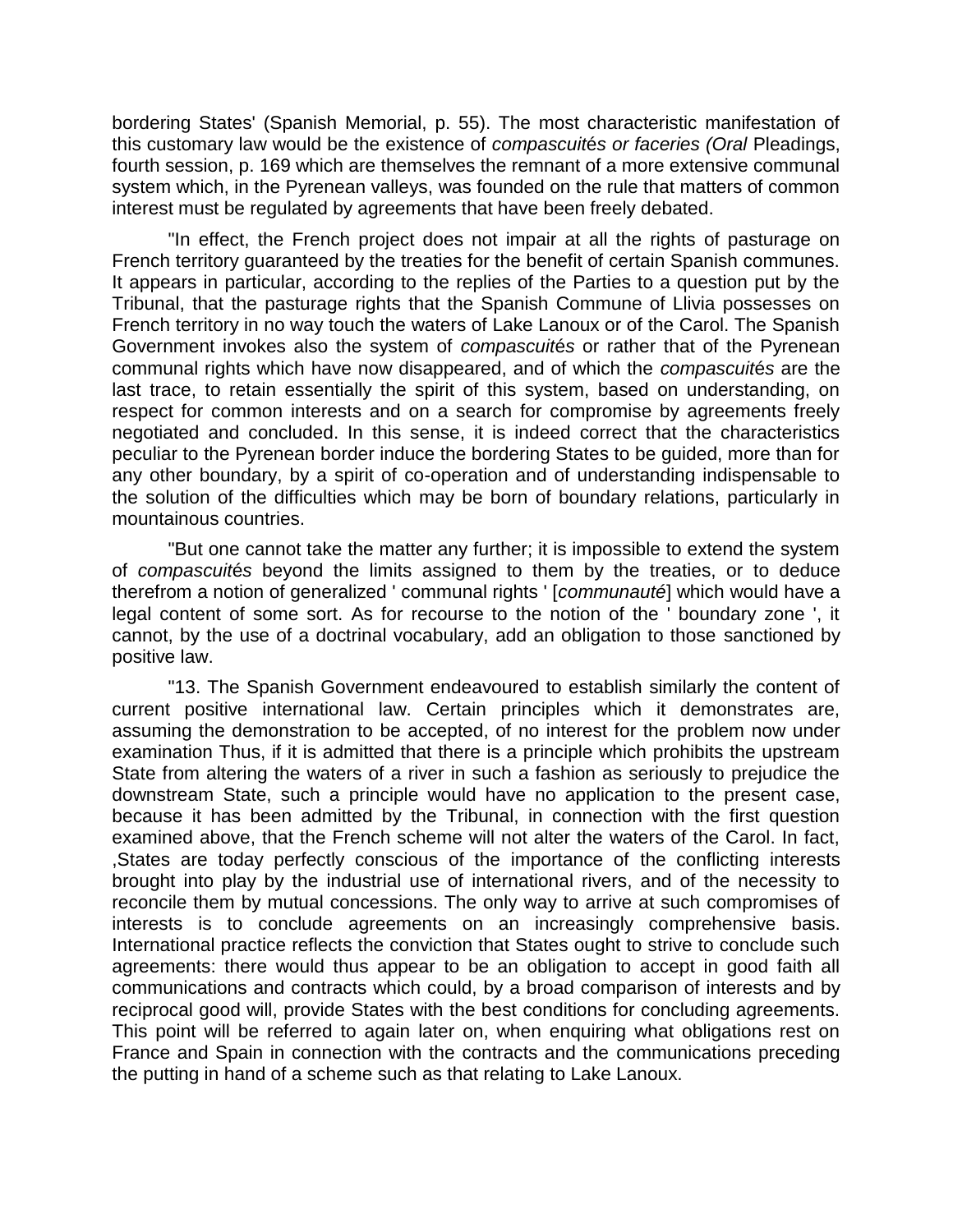bordering States' (Spanish Memorial, p. 55). The most characteristic manifestation of this customary law would be the existence of *compascuit*é*s or faceries (Oral* Pleadings, fourth session, p. 169 which are themselves the remnant of a more extensive communal system which, in the Pyrenean valleys, was founded on the rule that matters of common interest must be regulated by agreements that have been freely debated.

"In effect, the French project does not impair at all the rights of pasturage on French territory guaranteed by the treaties for the benefit of certain Spanish communes. It appears in particular, according to the replies of the Parties to a question put by the Tribunal, that the pasturage rights that the Spanish Commune of Llivia possesses on French territory in no way touch the waters of Lake Lanoux or of the Carol. The Spanish Government invokes also the system of *compascuit*é*s* or rather that of the Pyrenean communal rights which have now disappeared, and of which the *compascuit*é*s* are the last trace, to retain essentially the spirit of this system, based on understanding, on respect for common interests and on a search for compromise by agreements freely negotiated and concluded. In this sense, it is indeed correct that the characteristics peculiar to the Pyrenean border induce the bordering States to be guided, more than for any other boundary, by a spirit of co-operation and of understanding indispensable to the solution of the difficulties which may be born of boundary relations, particularly in mountainous countries.

"But one cannot take the matter any further; it is impossible to extend the system of *compascuit*é*s* beyond the limits assigned to them by the treaties, or to deduce therefrom a notion of generalized ' communal rights ' [*communauté*] which would have a legal content of some sort. As for recourse to the notion of the ' boundary zone ', it cannot, by the use of a doctrinal vocabulary, add an obligation to those sanctioned by positive law.

"13. The Spanish Government endeavoured to establish similarly the content of current positive international law. Certain principles which it demonstrates are, assuming the demonstration to be accepted, of no interest for the problem now under examination Thus, if it is admitted that there is a principle which prohibits the upstream State from altering the waters of a river in such a fashion as seriously to prejudice the downstream State, such a principle would have no application to the present case, because it has been admitted by the Tribunal, in connection with the first question examined above, that the French scheme will not alter the waters of the Carol. In fact, ,States are today perfectly conscious of the importance of the conflicting interests brought into play by the industrial use of international rivers, and of the necessity to reconcile them by mutual concessions. The only way to arrive at such compromises of interests is to conclude agreements on an increasingly comprehensive basis. International practice reflects the conviction that States ought to strive to conclude such agreements: there would thus appear to be an obligation to accept in good faith all communications and contracts which could, by a broad comparison of interests and by reciprocal good will, provide States with the best conditions for concluding agreements. This point will be referred to again later on, when enquiring what obligations rest on France and Spain in connection with the contracts and the communications preceding the putting in hand of a scheme such as that relating to Lake Lanoux.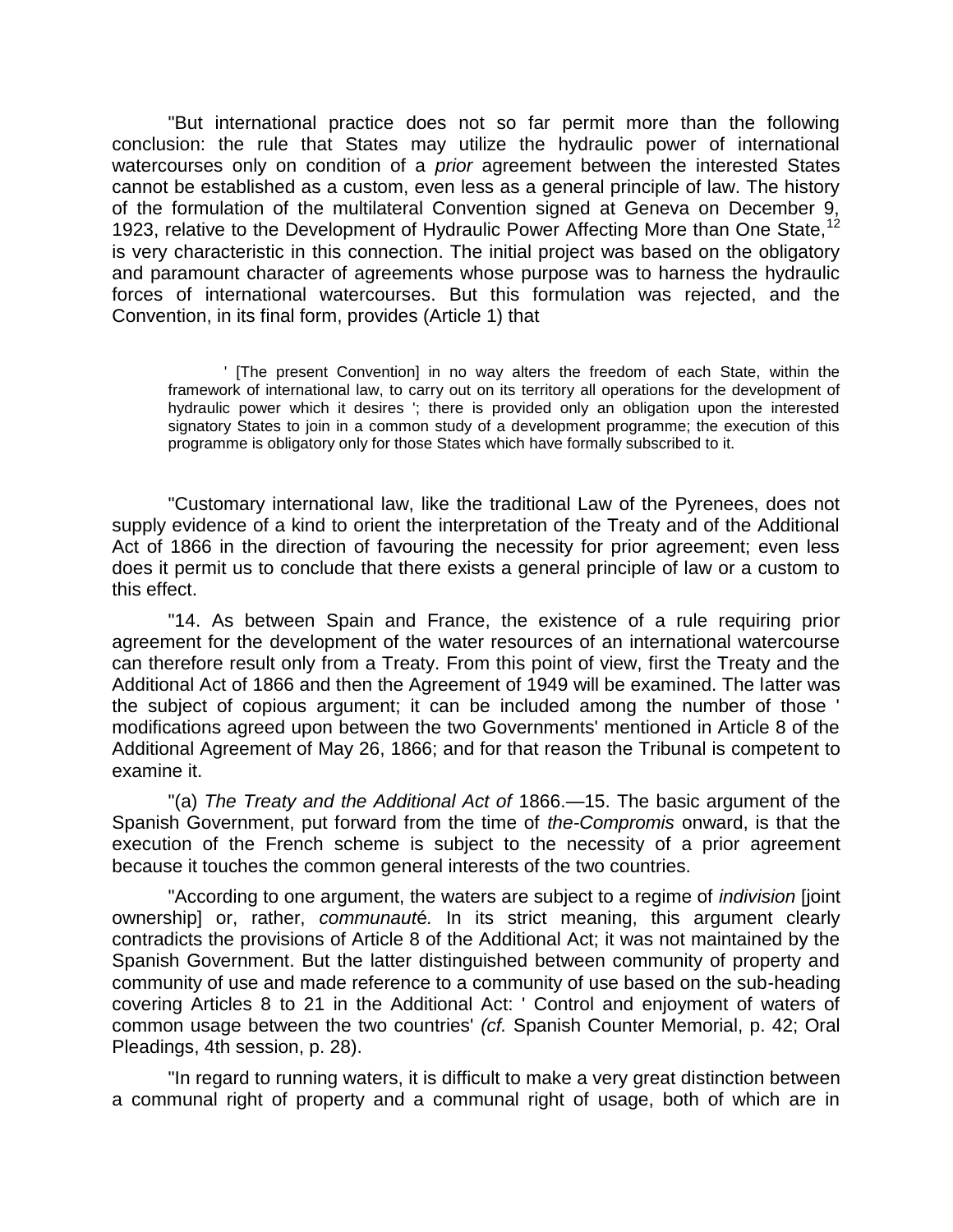"But international practice does not so far permit more than the following conclusion: the rule that States may utilize the hydraulic power of international watercourses only on condition of a *prior* agreement between the interested States cannot be established as a custom, even less as a general principle of law. The history of the formulation of the multilateral Convention signed at Geneva on December 9, 1923, relative to the Development of Hydraulic Power Affecting More than One State,<sup>12</sup> is very characteristic in this connection. The initial project was based on the obligatory and paramount character of agreements whose purpose was to harness the hydraulic forces of international watercourses. But this formulation was rejected, and the Convention, in its final form, provides (Article 1) that

' [The present Convention] in no way alters the freedom of each State, within the framework of international law, to carry out on its territory all operations for the development of hydraulic power which it desires '; there is provided only an obligation upon the interested signatory States to join in a common study of a development programme; the execution of this programme is obligatory only for those States which have formally subscribed to it.

"Customary international law, like the traditional Law of the Pyrenees, does not supply evidence of a kind to orient the interpretation of the Treaty and of the Additional Act of 1866 in the direction of favouring the necessity for prior agreement; even less does it permit us to conclude that there exists a general principle of law or a custom to this effect.

"14. As between Spain and France, the existence of a rule requiring prior agreement for the development of the water resources of an international watercourse can therefore result only from a Treaty. From this point of view, first the Treaty and the Additional Act of 1866 and then the Agreement of 1949 will be examined. The latter was the subject of copious argument; it can be included among the number of those ' modifications agreed upon between the two Governments' mentioned in Article 8 of the Additional Agreement of May 26, 1866; and for that reason the Tribunal is competent to examine it.

"(a) *The Treaty and the Additional Act of* 1866.—15. The basic argument of the Spanish Government, put forward from the time of *the-Compromis* onward, is that the execution of the French scheme is subject to the necessity of a prior agreement because it touches the common general interests of the two countries.

"According to one argument, the waters are subject to a regime of *indivision* [joint ownership] or, rather, *communaut*é*.* In its strict meaning, this argument clearly contradicts the provisions of Article 8 of the Additional Act; it was not maintained by the Spanish Government. But the latter distinguished between community of property and community of use and made reference to a community of use based on the sub-heading covering Articles 8 to 21 in the Additional Act: ' Control and enjoyment of waters of common usage between the two countries' *(cf.* Spanish Counter Memorial, p. 42; Oral Pleadings, 4th session, p. 28).

"In regard to running waters, it is difficult to make a very great distinction between a communal right of property and a communal right of usage, both of which are in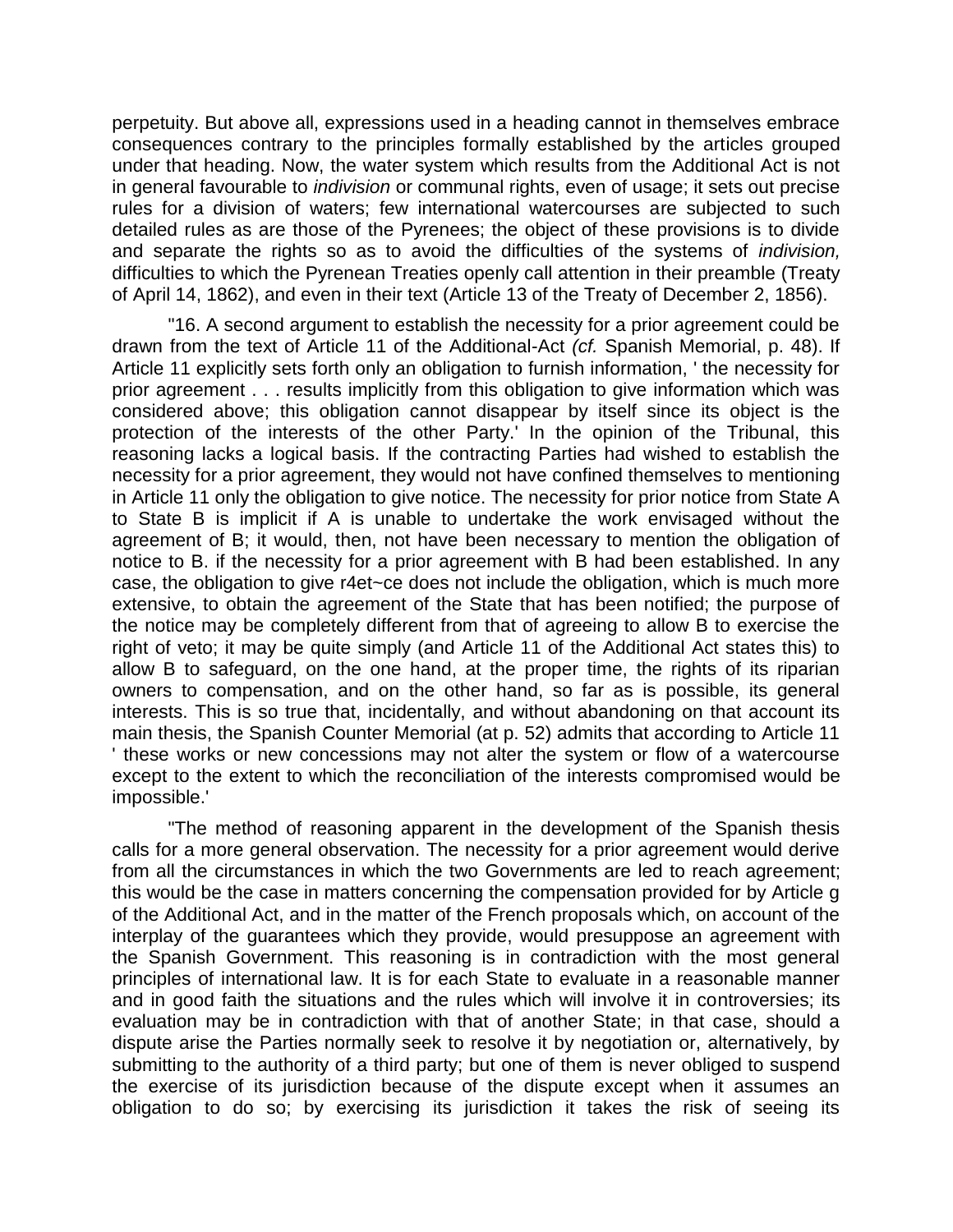perpetuity. But above all, expressions used in a heading cannot in themselves embrace consequences contrary to the principles formally established by the articles grouped under that heading. Now, the water system which results from the Additional Act is not in general favourable to *indivision* or communal rights, even of usage; it sets out precise rules for a division of waters; few international watercourses are subjected to such detailed rules as are those of the Pyrenees; the object of these provisions is to divide and separate the rights so as to avoid the difficulties of the systems of *indivision,*  difficulties to which the Pyrenean Treaties openly call attention in their preamble (Treaty of April 14, 1862), and even in their text (Article 13 of the Treaty of December 2, 1856).

"16. A second argument to establish the necessity for a prior agreement could be drawn from the text of Article 11 of the Additional-Act *(cf.* Spanish Memorial, p. 48). If Article 11 explicitly sets forth only an obligation to furnish information, ' the necessity for prior agreement . . . results implicitly from this obligation to give information which was considered above; this obligation cannot disappear by itself since its object is the protection of the interests of the other Party.' In the opinion of the Tribunal, this reasoning lacks a logical basis. If the contracting Parties had wished to establish the necessity for a prior agreement, they would not have confined themselves to mentioning in Article 11 only the obligation to give notice. The necessity for prior notice from State A to State B is implicit if A is unable to undertake the work envisaged without the agreement of B; it would, then, not have been necessary to mention the obligation of notice to B. if the necessity for a prior agreement with B had been established. In any case, the obligation to give r4et~ce does not include the obligation, which is much more extensive, to obtain the agreement of the State that has been notified; the purpose of the notice may be completely different from that of agreeing to allow B to exercise the right of veto; it may be quite simply (and Article 11 of the Additional Act states this) to allow B to safeguard, on the one hand, at the proper time, the rights of its riparian owners to compensation, and on the other hand, so far as is possible, its general interests. This is so true that, incidentally, and without abandoning on that account its main thesis, the Spanish Counter Memorial (at p. 52) admits that according to Article 11 ' these works or new concessions may not alter the system or flow of a watercourse except to the extent to which the reconciliation of the interests compromised would be impossible.'

"The method of reasoning apparent in the development of the Spanish thesis calls for a more general observation. The necessity for a prior agreement would derive from all the circumstances in which the two Governments are led to reach agreement; this would be the case in matters concerning the compensation provided for by Article g of the Additional Act, and in the matter of the French proposals which, on account of the interplay of the guarantees which they provide, would presuppose an agreement with the Spanish Government. This reasoning is in contradiction with the most general principles of international law. It is for each State to evaluate in a reasonable manner and in good faith the situations and the rules which will involve it in controversies; its evaluation may be in contradiction with that of another State; in that case, should a dispute arise the Parties normally seek to resolve it by negotiation or, alternatively, by submitting to the authority of a third party; but one of them is never obliged to suspend the exercise of its jurisdiction because of the dispute except when it assumes an obligation to do so; by exercising its jurisdiction it takes the risk of seeing its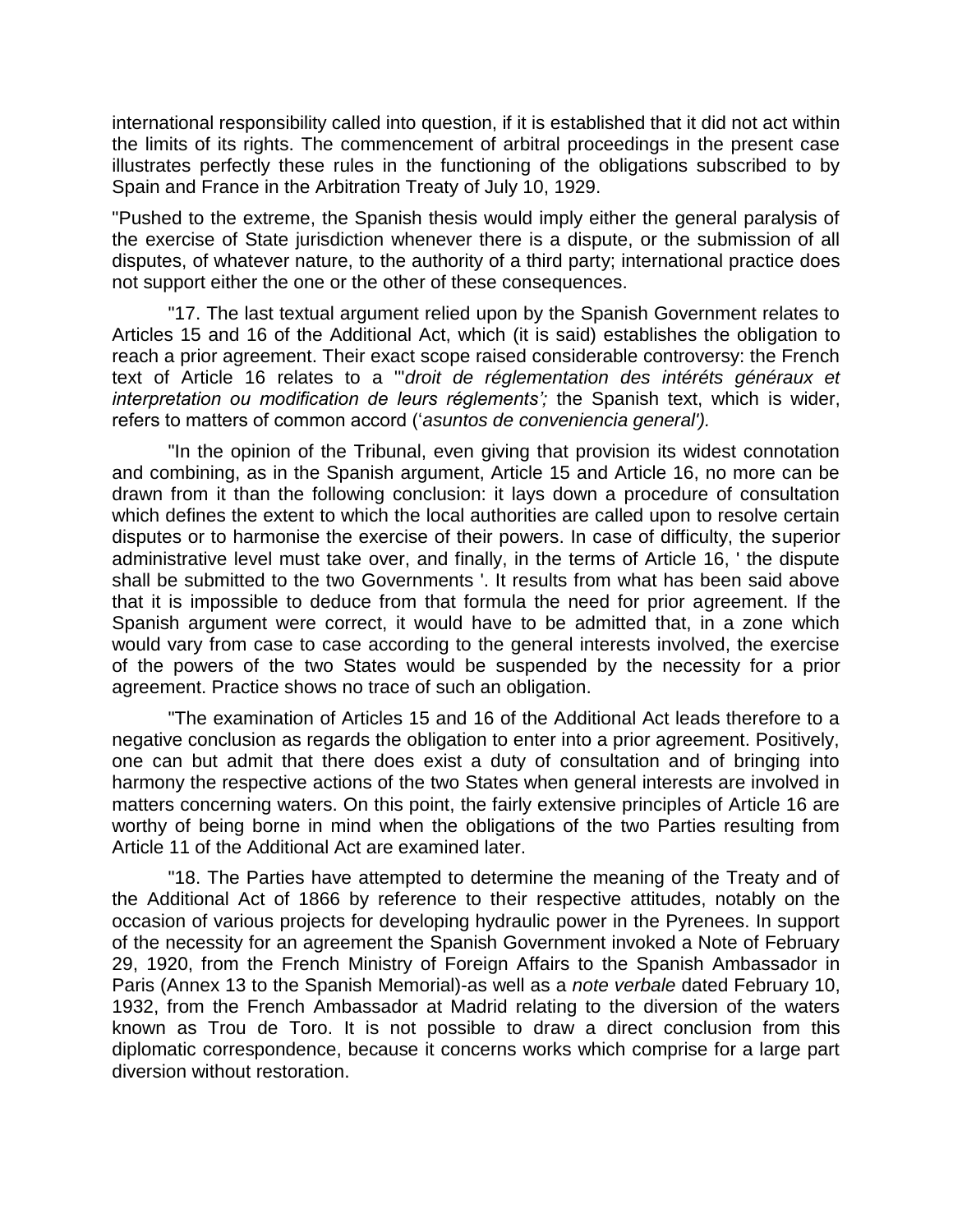international responsibility called into question, if it is established that it did not act within the limits of its rights. The commencement of arbitral proceedings in the present case illustrates perfectly these rules in the functioning of the obligations subscribed to by Spain and France in the Arbitration Treaty of July 10, 1929.

"Pushed to the extreme, the Spanish thesis would imply either the general paralysis of the exercise of State jurisdiction whenever there is a dispute, or the submission of all disputes, of whatever nature, to the authority of a third party; international practice does not support either the one or the other of these consequences.

"17. The last textual argument relied upon by the Spanish Government relates to Articles 15 and 16 of the Additional Act, which (it is said) establishes the obligation to reach a prior agreement. Their exact scope raised considerable controversy: the French text of Article 16 relates to a '"*droit de réglementation des intéréts généraux et interpretation ou modification de leurs réglements';* the Spanish text, which is wider, refers to matters of common accord ('*asuntos de conveniencia general').*

"In the opinion of the Tribunal, even giving that provision its widest connotation and combining, as in the Spanish argument, Article 15 and Article 16, no more can be drawn from it than the following conclusion: it lays down a procedure of consultation which defines the extent to which the local authorities are called upon to resolve certain disputes or to harmonise the exercise of their powers. In case of difficulty, the superior administrative level must take over, and finally, in the terms of Article 16, ' the dispute shall be submitted to the two Governments '. It results from what has been said above that it is impossible to deduce from that formula the need for prior agreement. If the Spanish argument were correct, it would have to be admitted that, in a zone which would vary from case to case according to the general interests involved, the exercise of the powers of the two States would be suspended by the necessity for a prior agreement. Practice shows no trace of such an obligation.

"The examination of Articles 15 and 16 of the Additional Act leads therefore to a negative conclusion as regards the obligation to enter into a prior agreement. Positively, one can but admit that there does exist a duty of consultation and of bringing into harmony the respective actions of the two States when general interests are involved in matters concerning waters. On this point, the fairly extensive principles of Article 16 are worthy of being borne in mind when the obligations of the two Parties resulting from Article 11 of the Additional Act are examined later.

"18. The Parties have attempted to determine the meaning of the Treaty and of the Additional Act of 1866 by reference to their respective attitudes, notably on the occasion of various projects for developing hydraulic power in the Pyrenees. In support of the necessity for an agreement the Spanish Government invoked a Note of February 29, 1920, from the French Ministry of Foreign Affairs to the Spanish Ambassador in Paris (Annex 13 to the Spanish Memorial)-as well as a *note verbale* dated February 10, 1932, from the French Ambassador at Madrid relating to the diversion of the waters known as Trou de Toro. It is not possible to draw a direct conclusion from this diplomatic correspondence, because it concerns works which comprise for a large part diversion without restoration.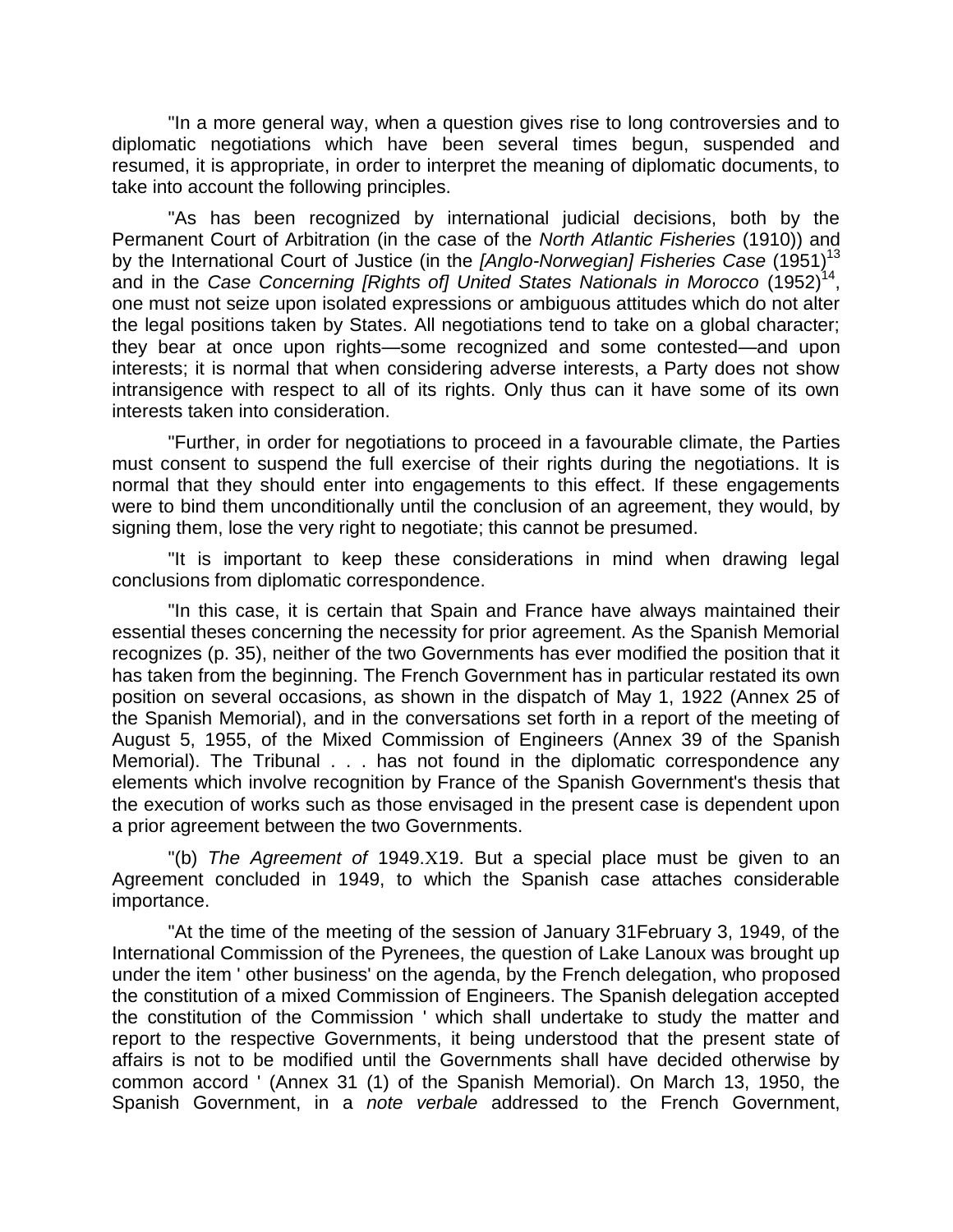"In a more general way, when a question gives rise to long controversies and to diplomatic negotiations which have been several times begun, suspended and resumed, it is appropriate, in order to interpret the meaning of diplomatic documents, to take into account the following principles.

"As has been recognized by international judicial decisions, both by the Permanent Court of Arbitration (in the case of the *North Atlantic Fisheries* (1910)) and by the International Court of Justice (in the *[Anglo-Norwegian] Fisheries Case* (1951)<sup>13</sup> and in the Case Concerning [Rights of] United States Nationals in Morocco (1952)<sup>14</sup>, one must not seize upon isolated expressions or ambiguous attitudes which do not alter the legal positions taken by States. All negotiations tend to take on a global character; they bear at once upon rights—some recognized and some contested—and upon interests; it is normal that when considering adverse interests, a Party does not show intransigence with respect to all of its rights. Only thus can it have some of its own interests taken into consideration.

"Further, in order for negotiations to proceed in a favourable climate, the Parties must consent to suspend the full exercise of their rights during the negotiations. It is normal that they should enter into engagements to this effect. If these engagements were to bind them unconditionally until the conclusion of an agreement, they would, by signing them, lose the very right to negotiate; this cannot be presumed.

"It is important to keep these considerations in mind when drawing legal conclusions from diplomatic correspondence.

"In this case, it is certain that Spain and France have always maintained their essential theses concerning the necessity for prior agreement. As the Spanish Memorial recognizes (p. 35), neither of the two Governments has ever modified the position that it has taken from the beginning. The French Government has in particular restated its own position on several occasions, as shown in the dispatch of May 1, 1922 (Annex 25 of the Spanish Memorial), and in the conversations set forth in a report of the meeting of August 5, 1955, of the Mixed Commission of Engineers (Annex 39 of the Spanish Memorial). The Tribunal . . . has not found in the diplomatic correspondence any elements which involve recognition by France of the Spanish Government's thesis that the execution of works such as those envisaged in the present case is dependent upon a prior agreement between the two Governments.

"(b) *The Agreement of* 1949.X19. But a special place must be given to an Agreement concluded in 1949, to which the Spanish case attaches considerable importance.

"At the time of the meeting of the session of January 31February 3, 1949, of the International Commission of the Pyrenees, the question of Lake Lanoux was brought up under the item ' other business' on the agenda, by the French delegation, who proposed the constitution of a mixed Commission of Engineers. The Spanish delegation accepted the constitution of the Commission ' which shall undertake to study the matter and report to the respective Governments, it being understood that the present state of affairs is not to be modified until the Governments shall have decided otherwise by common accord ' (Annex 31 (1) of the Spanish Memorial). On March 13, 1950, the Spanish Government, in a *note verbale* addressed to the French Government,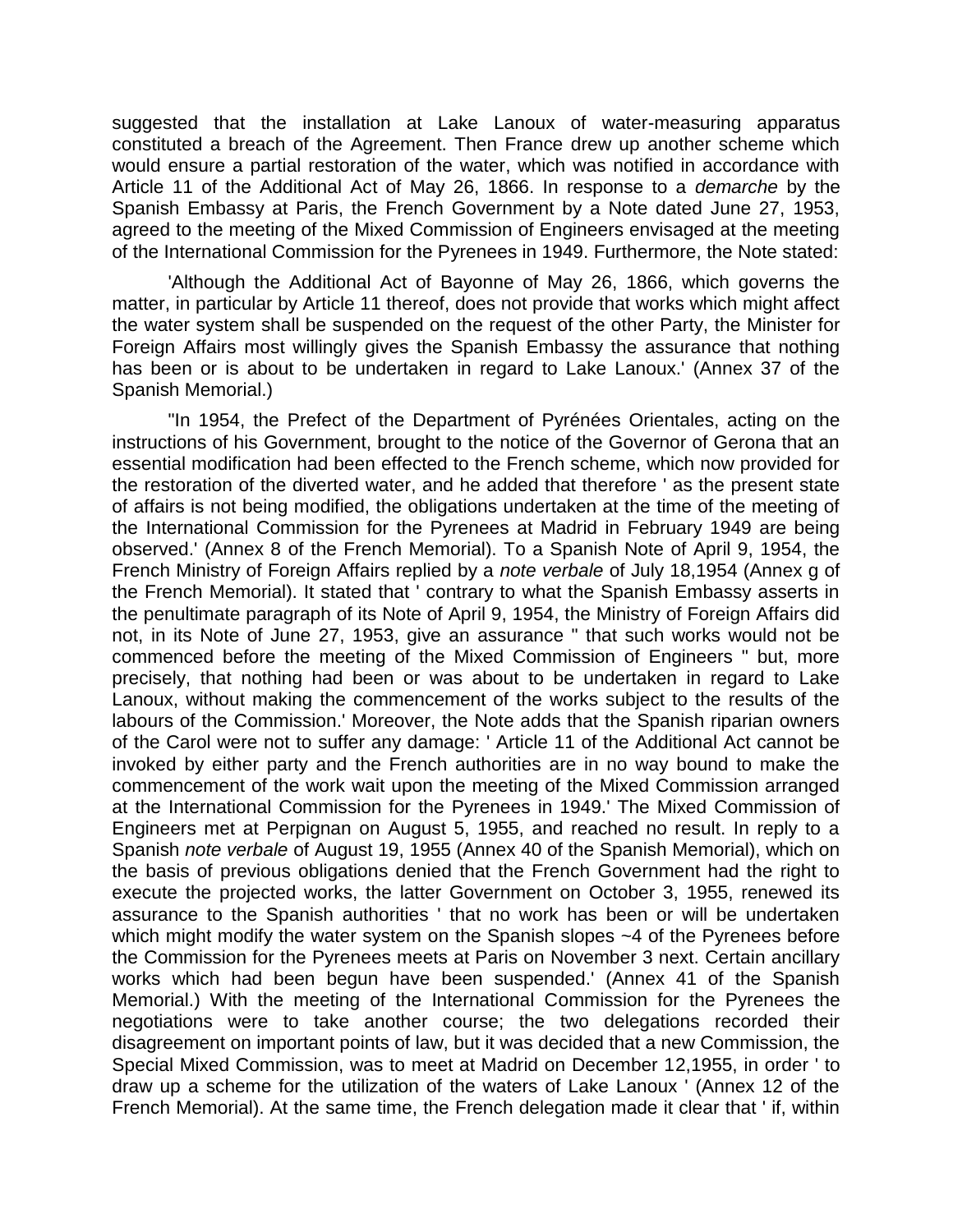suggested that the installation at Lake Lanoux of water-measuring apparatus constituted a breach of the Agreement. Then France drew up another scheme which would ensure a partial restoration of the water, which was notified in accordance with Article 11 of the Additional Act of May 26, 1866. In response to a *demarche* by the Spanish Embassy at Paris, the French Government by a Note dated June 27, 1953, agreed to the meeting of the Mixed Commission of Engineers envisaged at the meeting of the International Commission for the Pyrenees in 1949. Furthermore, the Note stated:

'Although the Additional Act of Bayonne of May 26, 1866, which governs the matter, in particular by Article 11 thereof, does not provide that works which might affect the water system shall be suspended on the request of the other Party, the Minister for Foreign Affairs most willingly gives the Spanish Embassy the assurance that nothing has been or is about to be undertaken in regard to Lake Lanoux.' (Annex 37 of the Spanish Memorial.)

"In 1954, the Prefect of the Department of Pyrénées Orientales, acting on the instructions of his Government, brought to the notice of the Governor of Gerona that an essential modification had been effected to the French scheme, which now provided for the restoration of the diverted water, and he added that therefore ' as the present state of affairs is not being modified, the obligations undertaken at the time of the meeting of the International Commission for the Pyrenees at Madrid in February 1949 are being observed.' (Annex 8 of the French Memorial). To a Spanish Note of April 9, 1954, the French Ministry of Foreign Affairs replied by a *note verbale* of July 18,1954 (Annex g of the French Memorial). It stated that ' contrary to what the Spanish Embassy asserts in the penultimate paragraph of its Note of April 9, 1954, the Ministry of Foreign Affairs did not, in its Note of June 27, 1953, give an assurance " that such works would not be commenced before the meeting of the Mixed Commission of Engineers " but, more precisely, that nothing had been or was about to be undertaken in regard to Lake Lanoux, without making the commencement of the works subject to the results of the labours of the Commission.' Moreover, the Note adds that the Spanish riparian owners of the Carol were not to suffer any damage: ' Article 11 of the Additional Act cannot be invoked by either party and the French authorities are in no way bound to make the commencement of the work wait upon the meeting of the Mixed Commission arranged at the International Commission for the Pyrenees in 1949.' The Mixed Commission of Engineers met at Perpignan on August 5, 1955, and reached no result. In reply to a Spanish *note verbale* of August 19, 1955 (Annex 40 of the Spanish Memorial), which on the basis of previous obligations denied that the French Government had the right to execute the projected works, the latter Government on October 3, 1955, renewed its assurance to the Spanish authorities ' that no work has been or will be undertaken which might modify the water system on the Spanish slopes  $\sim$ 4 of the Pyrenees before the Commission for the Pyrenees meets at Paris on November 3 next. Certain ancillary works which had been begun have been suspended.' (Annex 41 of the Spanish Memorial.) With the meeting of the International Commission for the Pyrenees the negotiations were to take another course; the two delegations recorded their disagreement on important points of law, but it was decided that a new Commission, the Special Mixed Commission, was to meet at Madrid on December 12,1955, in order ' to draw up a scheme for the utilization of the waters of Lake Lanoux ' (Annex 12 of the French Memorial). At the same time, the French delegation made it clear that ' if, within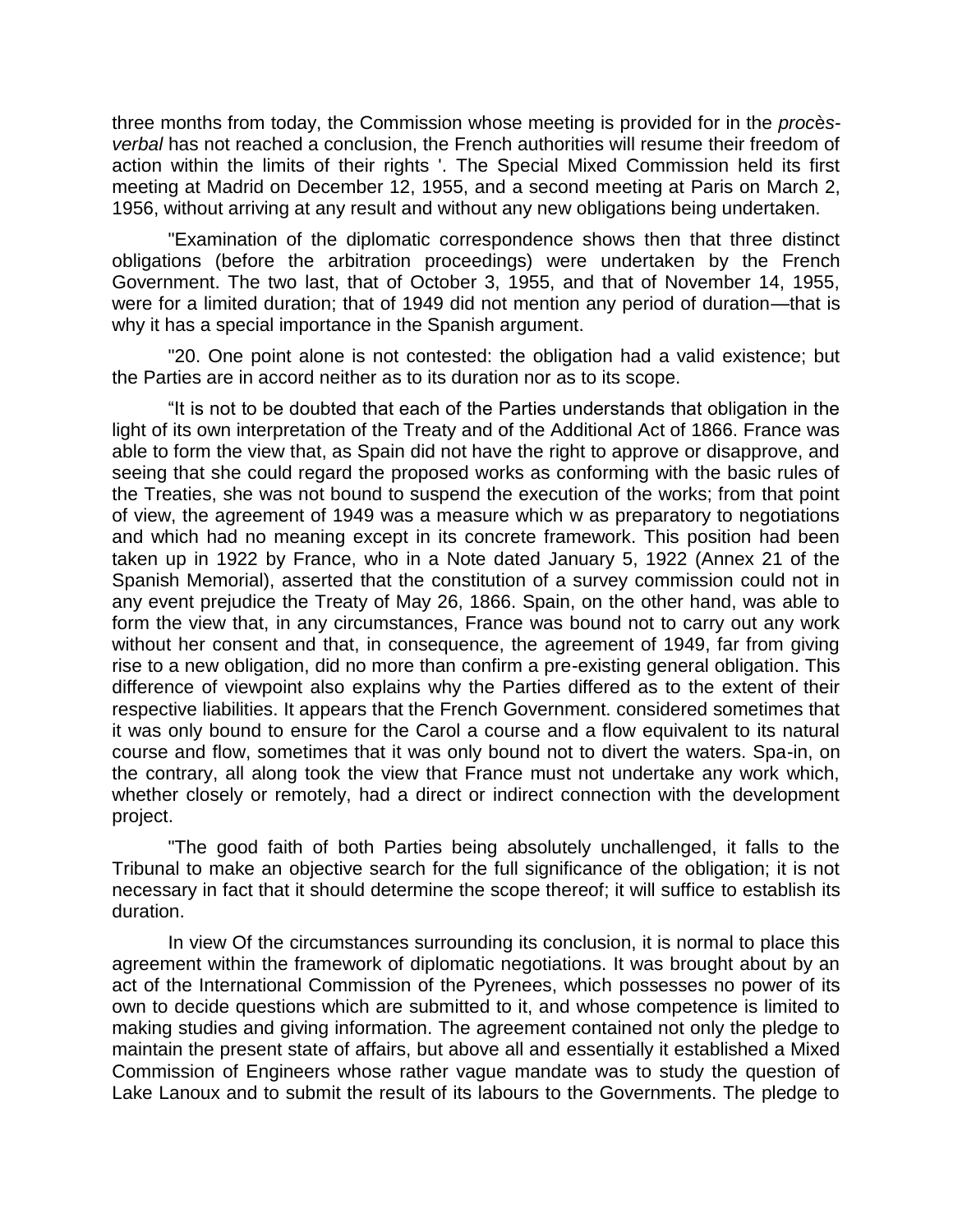three months from today, the Commission whose meeting is provided for in the *proc*è*sverbal* has not reached a conclusion, the French authorities will resume their freedom of action within the limits of their rights '. The Special Mixed Commission held its first meeting at Madrid on December 12, 1955, and a second meeting at Paris on March 2, 1956, without arriving at any result and without any new obligations being undertaken.

"Examination of the diplomatic correspondence shows then that three distinct obligations (before the arbitration proceedings) were undertaken by the French Government. The two last, that of October 3, 1955, and that of November 14, 1955, were for a limited duration; that of 1949 did not mention any period of duration—that is why it has a special importance in the Spanish argument.

"20. One point alone is not contested: the obligation had a valid existence; but the Parties are in accord neither as to its duration nor as to its scope.

"It is not to be doubted that each of the Parties understands that obligation in the light of its own interpretation of the Treaty and of the Additional Act of 1866. France was able to form the view that, as Spain did not have the right to approve or disapprove, and seeing that she could regard the proposed works as conforming with the basic rules of the Treaties, she was not bound to suspend the execution of the works; from that point of view, the agreement of 1949 was a measure which w as preparatory to negotiations and which had no meaning except in its concrete framework. This position had been taken up in 1922 by France, who in a Note dated January 5, 1922 (Annex 21 of the Spanish Memorial), asserted that the constitution of a survey commission could not in any event prejudice the Treaty of May 26, 1866. Spain, on the other hand, was able to form the view that, in any circumstances, France was bound not to carry out any work without her consent and that, in consequence, the agreement of 1949, far from giving rise to a new obligation, did no more than confirm a pre-existing general obligation. This difference of viewpoint also explains why the Parties differed as to the extent of their respective liabilities. It appears that the French Government. considered sometimes that it was only bound to ensure for the Carol a course and a flow equivalent to its natural course and flow, sometimes that it was only bound not to divert the waters. Spa-in, on the contrary, all along took the view that France must not undertake any work which, whether closely or remotely, had a direct or indirect connection with the development project.

"The good faith of both Parties being absolutely unchallenged, it falls to the Tribunal to make an objective search for the full significance of the obligation; it is not necessary in fact that it should determine the scope thereof; it will suffice to establish its duration.

In view Of the circumstances surrounding its conclusion, it is normal to place this agreement within the framework of diplomatic negotiations. It was brought about by an act of the International Commission of the Pyrenees, which possesses no power of its own to decide questions which are submitted to it, and whose competence is limited to making studies and giving information. The agreement contained not only the pledge to maintain the present state of affairs, but above all and essentially it established a Mixed Commission of Engineers whose rather vague mandate was to study the question of Lake Lanoux and to submit the result of its labours to the Governments. The pledge to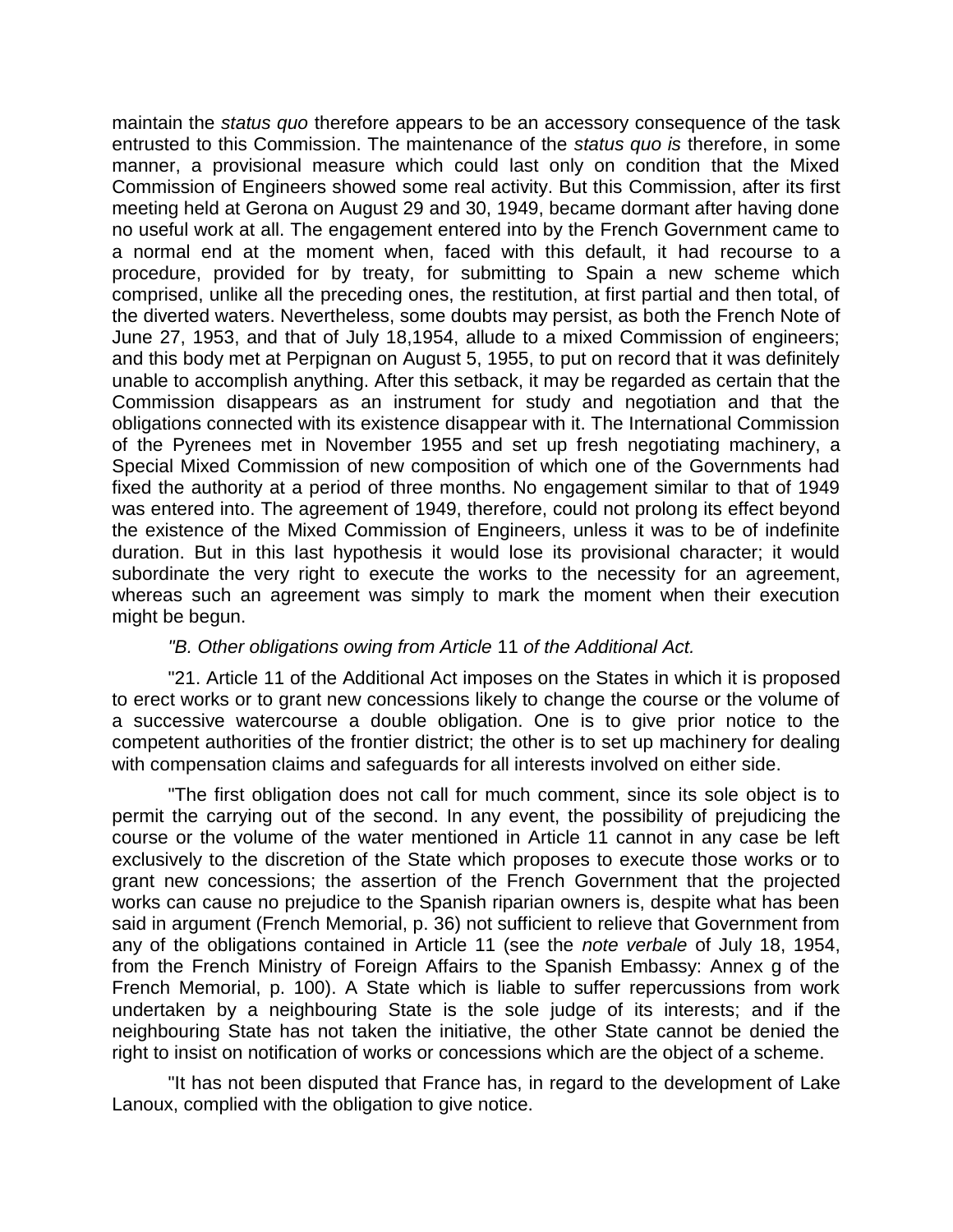maintain the *status quo* therefore appears to be an accessory consequence of the task entrusted to this Commission. The maintenance of the *status quo is* therefore, in some manner, a provisional measure which could last only on condition that the Mixed Commission of Engineers showed some real activity. But this Commission, after its first meeting held at Gerona on August 29 and 30, 1949, became dormant after having done no useful work at all. The engagement entered into by the French Government came to a normal end at the moment when, faced with this default, it had recourse to a procedure, provided for by treaty, for submitting to Spain a new scheme which comprised, unlike all the preceding ones, the restitution, at first partial and then total, of the diverted waters. Nevertheless, some doubts may persist, as both the French Note of June 27, 1953, and that of July 18,1954, allude to a mixed Commission of engineers; and this body met at Perpignan on August 5, 1955, to put on record that it was definitely unable to accomplish anything. After this setback, it may be regarded as certain that the Commission disappears as an instrument for study and negotiation and that the obligations connected with its existence disappear with it. The International Commission of the Pyrenees met in November 1955 and set up fresh negotiating machinery, a Special Mixed Commission of new composition of which one of the Governments had fixed the authority at a period of three months. No engagement similar to that of 1949 was entered into. The agreement of 1949, therefore, could not prolong its effect beyond the existence of the Mixed Commission of Engineers, unless it was to be of indefinite duration. But in this last hypothesis it would lose its provisional character; it would subordinate the very right to execute the works to the necessity for an agreement, whereas such an agreement was simply to mark the moment when their execution might be begun.

# *"B. Other obligations owing from Article* 11 *of the Additional Act.*

"21. Article 11 of the Additional Act imposes on the States in which it is proposed to erect works or to grant new concessions likely to change the course or the volume of a successive watercourse a double obligation. One is to give prior notice to the competent authorities of the frontier district; the other is to set up machinery for dealing with compensation claims and safeguards for all interests involved on either side.

"The first obligation does not call for much comment, since its sole object is to permit the carrying out of the second. In any event, the possibility of prejudicing the course or the volume of the water mentioned in Article 11 cannot in any case be left exclusively to the discretion of the State which proposes to execute those works or to grant new concessions; the assertion of the French Government that the projected works can cause no prejudice to the Spanish riparian owners is, despite what has been said in argument (French Memorial, p. 36) not sufficient to relieve that Government from any of the obligations contained in Article 11 (see the *note verbale* of July 18, 1954, from the French Ministry of Foreign Affairs to the Spanish Embassy: Annex g of the French Memorial, p. 100). A State which is liable to suffer repercussions from work undertaken by a neighbouring State is the sole judge of its interests; and if the neighbouring State has not taken the initiative, the other State cannot be denied the right to insist on notification of works or concessions which are the object of a scheme.

"It has not been disputed that France has, in regard to the development of Lake Lanoux, complied with the obligation to give notice.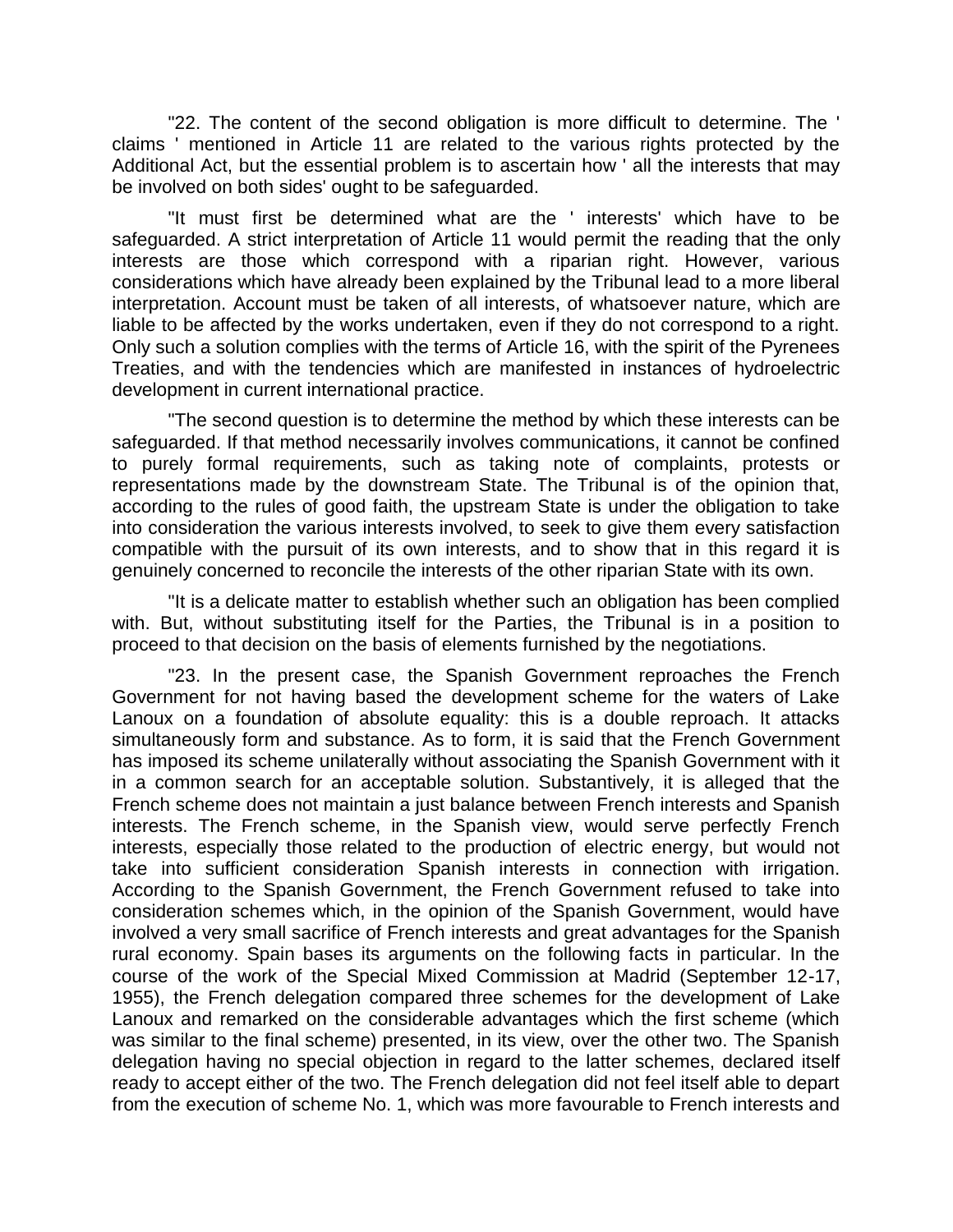"22. The content of the second obligation is more difficult to determine. The ' claims ' mentioned in Article 11 are related to the various rights protected by the Additional Act, but the essential problem is to ascertain how ' all the interests that may be involved on both sides' ought to be safeguarded.

"It must first be determined what are the ' interests' which have to be safeguarded. A strict interpretation of Article 11 would permit the reading that the only interests are those which correspond with a riparian right. However, various considerations which have already been explained by the Tribunal lead to a more liberal interpretation. Account must be taken of all interests, of whatsoever nature, which are liable to be affected by the works undertaken, even if they do not correspond to a right. Only such a solution complies with the terms of Article 16, with the spirit of the Pyrenees Treaties, and with the tendencies which are manifested in instances of hydroelectric development in current international practice.

"The second question is to determine the method by which these interests can be safeguarded. If that method necessarily involves communications, it cannot be confined to purely formal requirements, such as taking note of complaints, protests or representations made by the downstream State. The Tribunal is of the opinion that, according to the rules of good faith, the upstream State is under the obligation to take into consideration the various interests involved, to seek to give them every satisfaction compatible with the pursuit of its own interests, and to show that in this regard it is genuinely concerned to reconcile the interests of the other riparian State with its own.

"It is a delicate matter to establish whether such an obligation has been complied with. But, without substituting itself for the Parties, the Tribunal is in a position to proceed to that decision on the basis of elements furnished by the negotiations.

"23. In the present case, the Spanish Government reproaches the French Government for not having based the development scheme for the waters of Lake Lanoux on a foundation of absolute equality: this is a double reproach. It attacks simultaneously form and substance. As to form, it is said that the French Government has imposed its scheme unilaterally without associating the Spanish Government with it in a common search for an acceptable solution. Substantively, it is alleged that the French scheme does not maintain a just balance between French interests and Spanish interests. The French scheme, in the Spanish view, would serve perfectly French interests, especially those related to the production of electric energy, but would not take into sufficient consideration Spanish interests in connection with irrigation. According to the Spanish Government, the French Government refused to take into consideration schemes which, in the opinion of the Spanish Government, would have involved a very small sacrifice of French interests and great advantages for the Spanish rural economy. Spain bases its arguments on the following facts in particular. In the course of the work of the Special Mixed Commission at Madrid (September 12-17, 1955), the French delegation compared three schemes for the development of Lake Lanoux and remarked on the considerable advantages which the first scheme (which was similar to the final scheme) presented, in its view, over the other two. The Spanish delegation having no special objection in regard to the latter schemes, declared itself ready to accept either of the two. The French delegation did not feel itself able to depart from the execution of scheme No. 1, which was more favourable to French interests and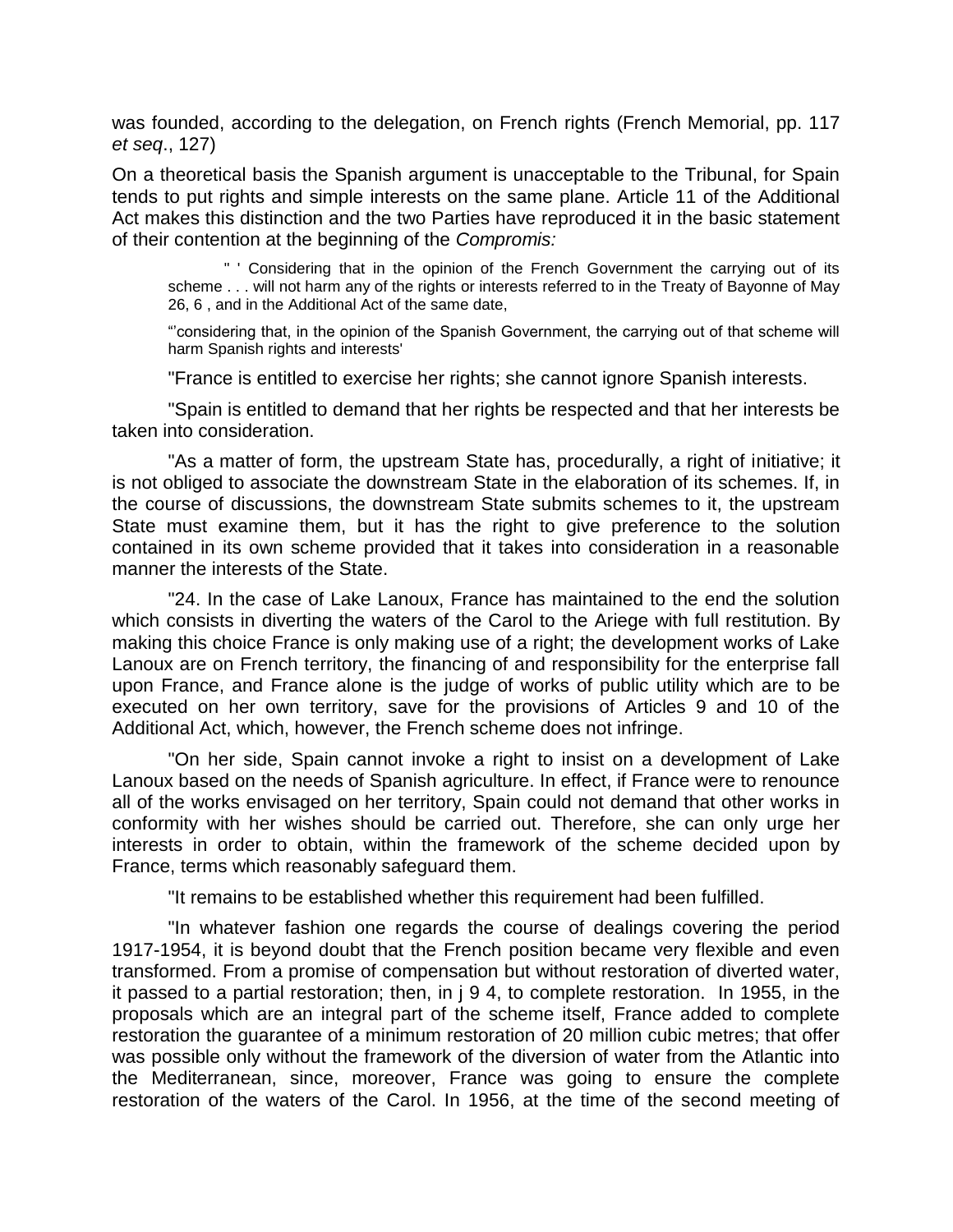was founded, according to the delegation, on French rights (French Memorial, pp. 117 *et seq*., 127)

On a theoretical basis the Spanish argument is unacceptable to the Tribunal, for Spain tends to put rights and simple interests on the same plane. Article 11 of the Additional Act makes this distinction and the two Parties have reproduced it in the basic statement of their contention at the beginning of the *Compromis:*

" ' Considering that in the opinion of the French Government the carrying out of its scheme . . . will not harm any of the rights or interests referred to in the Treaty of Bayonne of May 26, 6 , and in the Additional Act of the same date,

"'considering that, in the opinion of the Spanish Government, the carrying out of that scheme will harm Spanish rights and interests'

"France is entitled to exercise her rights; she cannot ignore Spanish interests.

"Spain is entitled to demand that her rights be respected and that her interests be taken into consideration.

"As a matter of form, the upstream State has, procedurally, a right of initiative; it is not obliged to associate the downstream State in the elaboration of its schemes. If, in the course of discussions, the downstream State submits schemes to it, the upstream State must examine them, but it has the right to give preference to the solution contained in its own scheme provided that it takes into consideration in a reasonable manner the interests of the State.

"24. In the case of Lake Lanoux, France has maintained to the end the solution which consists in diverting the waters of the Carol to the Ariege with full restitution. By making this choice France is only making use of a right; the development works of Lake Lanoux are on French territory, the financing of and responsibility for the enterprise fall upon France, and France alone is the judge of works of public utility which are to be executed on her own territory, save for the provisions of Articles 9 and 10 of the Additional Act, which, however, the French scheme does not infringe.

"On her side, Spain cannot invoke a right to insist on a development of Lake Lanoux based on the needs of Spanish agriculture. In effect, if France were to renounce all of the works envisaged on her territory, Spain could not demand that other works in conformity with her wishes should be carried out. Therefore, she can only urge her interests in order to obtain, within the framework of the scheme decided upon by France, terms which reasonably safeguard them.

"It remains to be established whether this requirement had been fulfilled.

"In whatever fashion one regards the course of dealings covering the period 1917-1954, it is beyond doubt that the French position became very flexible and even transformed. From a promise of compensation but without restoration of diverted water, it passed to a partial restoration; then, in j 9 4, to complete restoration. In 1955, in the proposals which are an integral part of the scheme itself, France added to complete restoration the guarantee of a minimum restoration of 20 million cubic metres; that offer was possible only without the framework of the diversion of water from the Atlantic into the Mediterranean, since, moreover, France was going to ensure the complete restoration of the waters of the Carol. In 1956, at the time of the second meeting of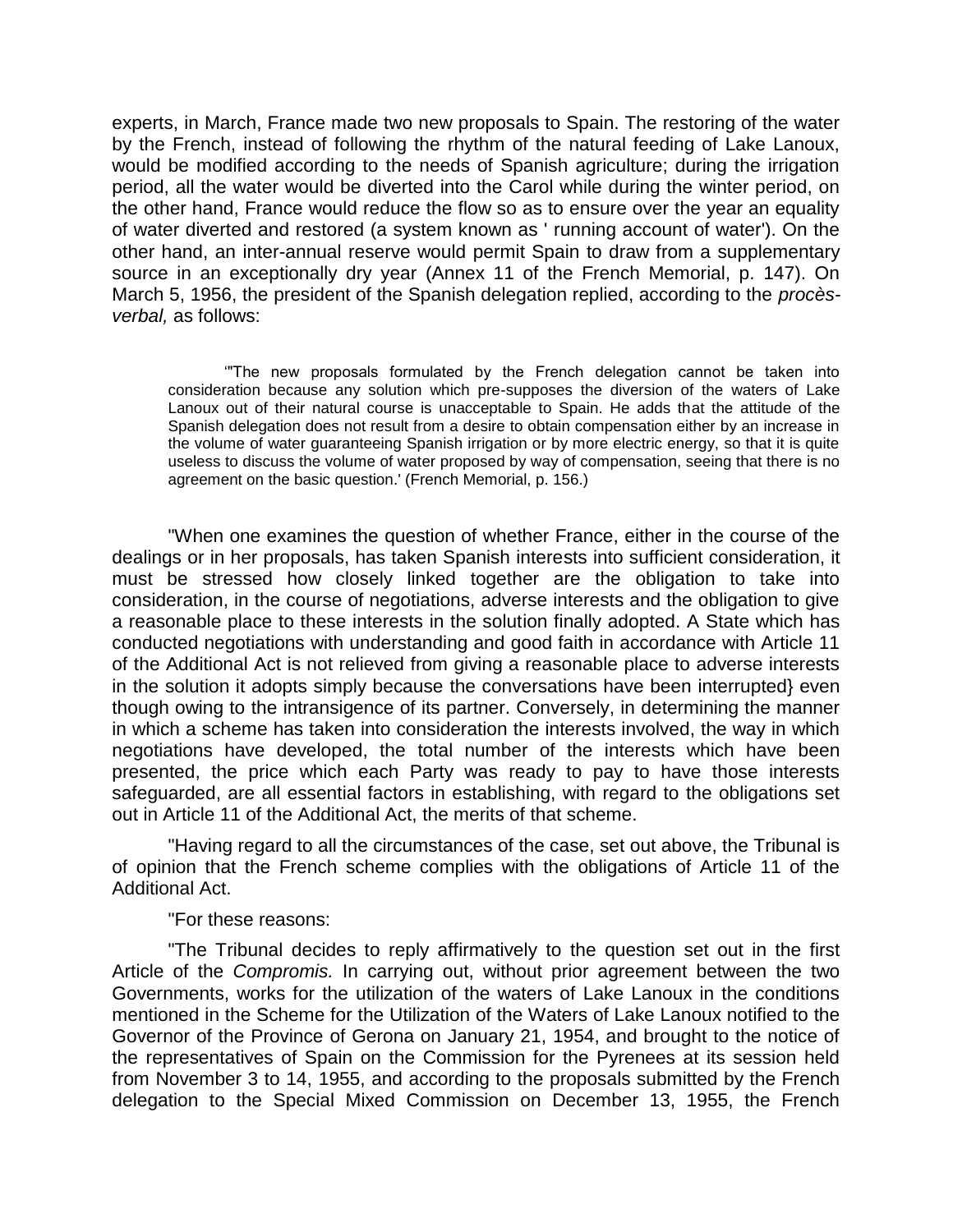experts, in March, France made two new proposals to Spain. The restoring of the water by the French, instead of following the rhythm of the natural feeding of Lake Lanoux, would be modified according to the needs of Spanish agriculture; during the irrigation period, all the water would be diverted into the Carol while during the winter period, on the other hand, France would reduce the flow so as to ensure over the year an equality of water diverted and restored (a system known as ' running account of water'). On the other hand, an inter-annual reserve would permit Spain to draw from a supplementary source in an exceptionally dry year (Annex 11 of the French Memorial, p. 147). On March 5, 1956, the president of the Spanish delegation replied, according to the *procèsverbal,* as follows:

'"The new proposals formulated by the French delegation cannot be taken into consideration because any solution which pre-supposes the diversion of the waters of Lake Lanoux out of their natural course is unacceptable to Spain. He adds that the attitude of the Spanish delegation does not result from a desire to obtain compensation either by an increase in the volume of water guaranteeing Spanish irrigation or by more electric energy, so that it is quite useless to discuss the volume of water proposed by way of compensation, seeing that there is no agreement on the basic question.' (French Memorial, p. 156.)

"When one examines the question of whether France, either in the course of the dealings or in her proposals, has taken Spanish interests into sufficient consideration, it must be stressed how closely linked together are the obligation to take into consideration, in the course of negotiations, adverse interests and the obligation to give a reasonable place to these interests in the solution finally adopted. A State which has conducted negotiations with understanding and good faith in accordance with Article 11 of the Additional Act is not relieved from giving a reasonable place to adverse interests in the solution it adopts simply because the conversations have been interrupted} even though owing to the intransigence of its partner. Conversely, in determining the manner in which a scheme has taken into consideration the interests involved, the way in which negotiations have developed, the total number of the interests which have been presented, the price which each Party was ready to pay to have those interests safeguarded, are all essential factors in establishing, with regard to the obligations set out in Article 11 of the Additional Act, the merits of that scheme.

"Having regard to all the circumstances of the case, set out above, the Tribunal is of opinion that the French scheme complies with the obligations of Article 11 of the Additional Act.

## "For these reasons:

"The Tribunal decides to reply affirmatively to the question set out in the first Article of the *Compromis.* In carrying out, without prior agreement between the two Governments, works for the utilization of the waters of Lake Lanoux in the conditions mentioned in the Scheme for the Utilization of the Waters of Lake Lanoux notified to the Governor of the Province of Gerona on January 21, 1954, and brought to the notice of the representatives of Spain on the Commission for the Pyrenees at its session held from November 3 to 14, 1955, and according to the proposals submitted by the French delegation to the Special Mixed Commission on December 13, 1955, the French